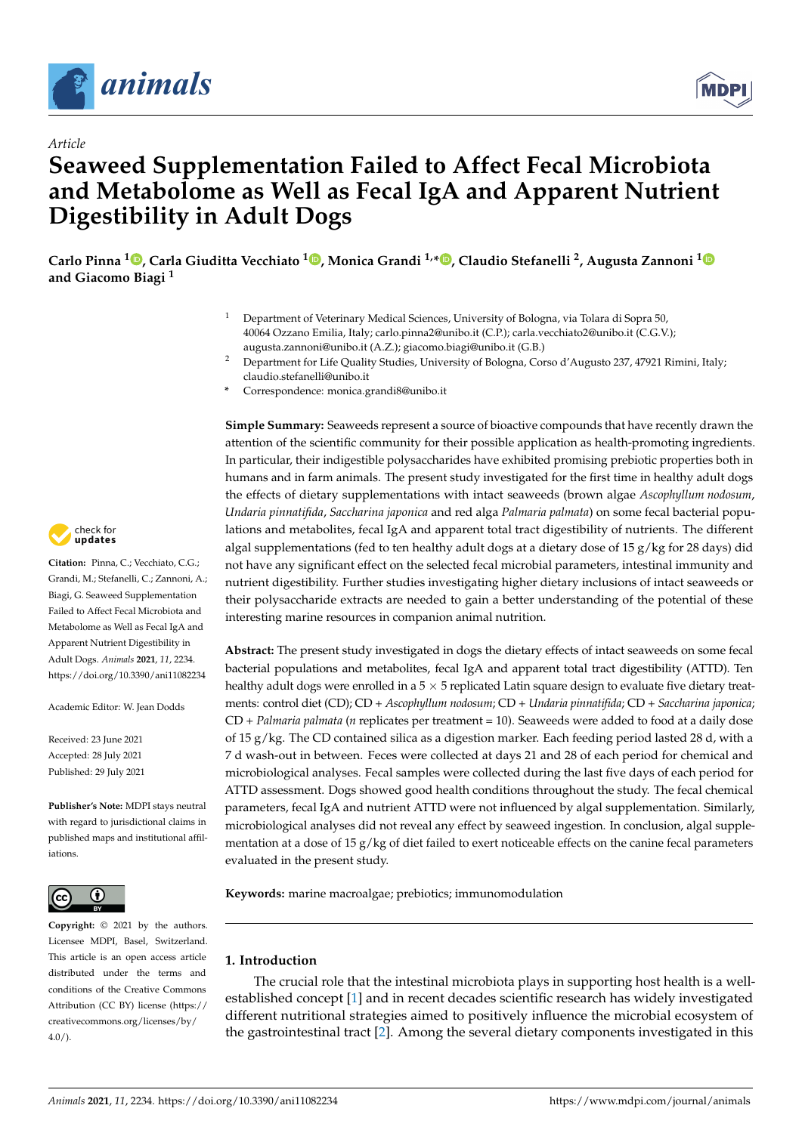

*Article*



# **Seaweed Supplementation Failed to Affect Fecal Microbiota and Metabolome as Well as Fecal IgA and Apparent Nutrient Digestibility in Adult Dogs**

**Carlo Pinna <sup>1</sup> [,](https://orcid.org/0000-0001-5861-4820) Carla Giuditta Vecchiato [1](https://orcid.org/0000-0002-4962-5277) , Monica Grandi 1,[\\*](https://orcid.org/0000-0003-0750-9515) , Claudio Stefanelli <sup>2</sup> , Augusta Zannoni [1](https://orcid.org/0000-0002-2972-4921) and Giacomo Biagi <sup>1</sup>**

- <sup>1</sup> Department of Veterinary Medical Sciences, University of Bologna, via Tolara di Sopra 50, 40064 Ozzano Emilia, Italy; carlo.pinna2@unibo.it (C.P.); carla.vecchiato2@unibo.it (C.G.V.); augusta.zannoni@unibo.it (A.Z.); giacomo.biagi@unibo.it (G.B.)
- <sup>2</sup> Department for Life Quality Studies, University of Bologna, Corso d'Augusto 237, 47921 Rimini, Italy; claudio.stefanelli@unibo.it
- **\*** Correspondence: monica.grandi8@unibo.it

**Simple Summary:** Seaweeds represent a source of bioactive compounds that have recently drawn the attention of the scientific community for their possible application as health-promoting ingredients. In particular, their indigestible polysaccharides have exhibited promising prebiotic properties both in humans and in farm animals. The present study investigated for the first time in healthy adult dogs the effects of dietary supplementations with intact seaweeds (brown algae *Ascophyllum nodosum*, *Undaria pinnatifida*, *Saccharina japonica* and red alga *Palmaria palmata*) on some fecal bacterial populations and metabolites, fecal IgA and apparent total tract digestibility of nutrients. The different algal supplementations (fed to ten healthy adult dogs at a dietary dose of 15 g/kg for 28 days) did not have any significant effect on the selected fecal microbial parameters, intestinal immunity and nutrient digestibility. Further studies investigating higher dietary inclusions of intact seaweeds or their polysaccharide extracts are needed to gain a better understanding of the potential of these interesting marine resources in companion animal nutrition.

**Abstract:** The present study investigated in dogs the dietary effects of intact seaweeds on some fecal bacterial populations and metabolites, fecal IgA and apparent total tract digestibility (ATTD). Ten healthy adult dogs were enrolled in a  $5 \times 5$  replicated Latin square design to evaluate five dietary treatments: control diet (CD); CD + *Ascophyllum nodosum*; CD + *Undaria pinnatifida*; CD + *Saccharina japonica*; CD + *Palmaria palmata* (*n* replicates per treatment = 10). Seaweeds were added to food at a daily dose of 15 g/kg. The CD contained silica as a digestion marker. Each feeding period lasted 28 d, with a 7 d wash-out in between. Feces were collected at days 21 and 28 of each period for chemical and microbiological analyses. Fecal samples were collected during the last five days of each period for ATTD assessment. Dogs showed good health conditions throughout the study. The fecal chemical parameters, fecal IgA and nutrient ATTD were not influenced by algal supplementation. Similarly, microbiological analyses did not reveal any effect by seaweed ingestion. In conclusion, algal supplementation at a dose of 15  $g/kg$  of diet failed to exert noticeable effects on the canine fecal parameters evaluated in the present study.

**Keywords:** marine macroalgae; prebiotics; immunomodulation

## **1. Introduction**

The crucial role that the intestinal microbiota plays in supporting host health is a wellestablished concept [\[1\]](#page-10-0) and in recent decades scientific research has widely investigated different nutritional strategies aimed to positively influence the microbial ecosystem of the gastrointestinal tract [\[2\]](#page-10-1). Among the several dietary components investigated in this



**Citation:** Pinna, C.; Vecchiato, C.G.; Grandi, M.; Stefanelli, C.; Zannoni, A.; Biagi, G. Seaweed Supplementation Failed to Affect Fecal Microbiota and Metabolome as Well as Fecal IgA and Apparent Nutrient Digestibility in Adult Dogs. *Animals* **2021**, *11*, 2234. <https://doi.org/10.3390/ani11082234>

Academic Editor: W. Jean Dodds

Received: 23 June 2021 Accepted: 28 July 2021 Published: 29 July 2021

**Publisher's Note:** MDPI stays neutral with regard to jurisdictional claims in published maps and institutional affiliations.



**Copyright:** © 2021 by the authors. Licensee MDPI, Basel, Switzerland. This article is an open access article distributed under the terms and conditions of the Creative Commons Attribution (CC BY) license (https:/[/](https://creativecommons.org/licenses/by/4.0/) [creativecommons.org/licenses/by/](https://creativecommons.org/licenses/by/4.0/) 4.0/).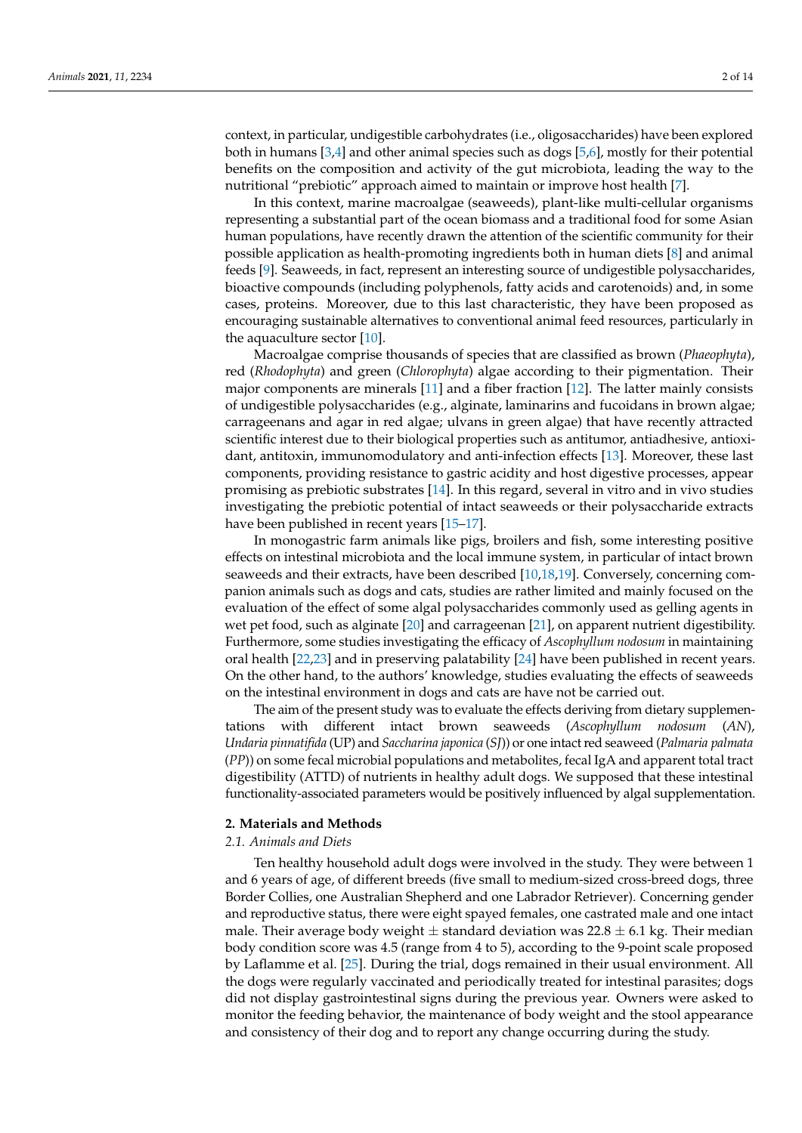context, in particular, undigestible carbohydrates (i.e., oligosaccharides) have been explored both in humans [\[3,](#page-10-2)[4\]](#page-10-3) and other animal species such as dogs [\[5,](#page-10-4)[6\]](#page-10-5), mostly for their potential benefits on the composition and activity of the gut microbiota, leading the way to the nutritional "prebiotic" approach aimed to maintain or improve host health [\[7\]](#page-10-6).

In this context, marine macroalgae (seaweeds), plant-like multi-cellular organisms representing a substantial part of the ocean biomass and a traditional food for some Asian human populations, have recently drawn the attention of the scientific community for their possible application as health-promoting ingredients both in human diets [\[8\]](#page-10-7) and animal feeds [\[9\]](#page-10-8). Seaweeds, in fact, represent an interesting source of undigestible polysaccharides, bioactive compounds (including polyphenols, fatty acids and carotenoids) and, in some cases, proteins. Moreover, due to this last characteristic, they have been proposed as encouraging sustainable alternatives to conventional animal feed resources, particularly in the aquaculture sector [\[10\]](#page-10-9).

Macroalgae comprise thousands of species that are classified as brown (*Phaeophyta*), red (*Rhodophyta*) and green (*Chlorophyta*) algae according to their pigmentation. Their major components are minerals [\[11\]](#page-10-10) and a fiber fraction [\[12\]](#page-11-0). The latter mainly consists of undigestible polysaccharides (e.g., alginate, laminarins and fucoidans in brown algae; carrageenans and agar in red algae; ulvans in green algae) that have recently attracted scientific interest due to their biological properties such as antitumor, antiadhesive, antioxidant, antitoxin, immunomodulatory and anti-infection effects [\[13\]](#page-11-1). Moreover, these last components, providing resistance to gastric acidity and host digestive processes, appear promising as prebiotic substrates [\[14\]](#page-11-2). In this regard, several in vitro and in vivo studies investigating the prebiotic potential of intact seaweeds or their polysaccharide extracts have been published in recent years [\[15–](#page-11-3)[17\]](#page-11-4).

In monogastric farm animals like pigs, broilers and fish, some interesting positive effects on intestinal microbiota and the local immune system, in particular of intact brown seaweeds and their extracts, have been described [\[10](#page-10-9)[,18](#page-11-5)[,19\]](#page-11-6). Conversely, concerning companion animals such as dogs and cats, studies are rather limited and mainly focused on the evaluation of the effect of some algal polysaccharides commonly used as gelling agents in wet pet food, such as alginate [\[20\]](#page-11-7) and carrageenan [\[21\]](#page-11-8), on apparent nutrient digestibility. Furthermore, some studies investigating the efficacy of *Ascophyllum nodosum* in maintaining oral health [\[22](#page-11-9)[,23\]](#page-11-10) and in preserving palatability [\[24\]](#page-11-11) have been published in recent years. On the other hand, to the authors' knowledge, studies evaluating the effects of seaweeds on the intestinal environment in dogs and cats are have not be carried out.

The aim of the present study was to evaluate the effects deriving from dietary supplementations with different intact brown seaweeds (*Ascophyllum nodosum* (*AN*), *Undaria pinnatifida* (UP) and *Saccharina japonica* (*SJ*)) or one intact red seaweed (*Palmaria palmata* (*PP*)) on some fecal microbial populations and metabolites, fecal IgA and apparent total tract digestibility (ATTD) of nutrients in healthy adult dogs. We supposed that these intestinal functionality-associated parameters would be positively influenced by algal supplementation.

## **2. Materials and Methods**

#### *2.1. Animals and Diets*

Ten healthy household adult dogs were involved in the study. They were between 1 and 6 years of age, of different breeds (five small to medium-sized cross-breed dogs, three Border Collies, one Australian Shepherd and one Labrador Retriever). Concerning gender and reproductive status, there were eight spayed females, one castrated male and one intact male. Their average body weight  $\pm$  standard deviation was 22.8  $\pm$  6.1 kg. Their median body condition score was 4.5 (range from 4 to 5), according to the 9-point scale proposed by Laflamme et al. [\[25\]](#page-11-12). During the trial, dogs remained in their usual environment. All the dogs were regularly vaccinated and periodically treated for intestinal parasites; dogs did not display gastrointestinal signs during the previous year. Owners were asked to monitor the feeding behavior, the maintenance of body weight and the stool appearance and consistency of their dog and to report any change occurring during the study.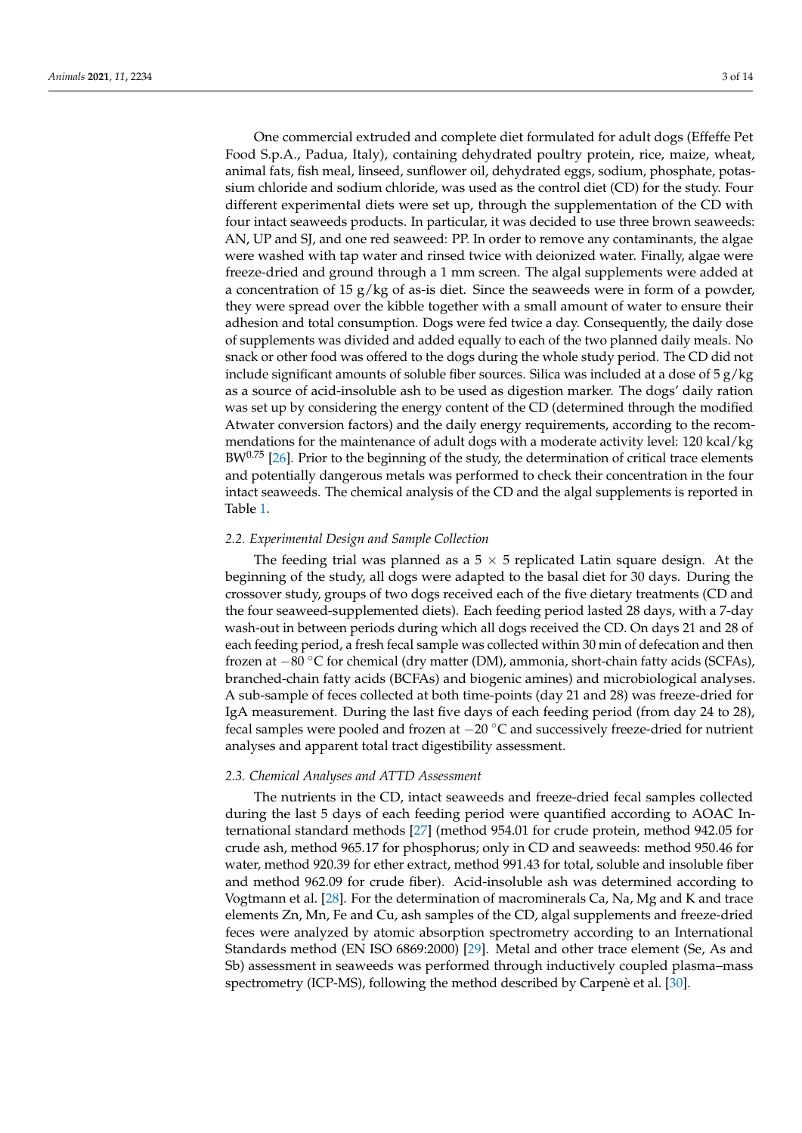One commercial extruded and complete diet formulated for adult dogs (Effeffe Pet Food S.p.A., Padua, Italy), containing dehydrated poultry protein, rice, maize, wheat, animal fats, fish meal, linseed, sunflower oil, dehydrated eggs, sodium, phosphate, potassium chloride and sodium chloride, was used as the control diet (CD) for the study. Four different experimental diets were set up, through the supplementation of the CD with four intact seaweeds products. In particular, it was decided to use three brown seaweeds: AN, UP and SJ, and one red seaweed: PP. In order to remove any contaminants, the algae were washed with tap water and rinsed twice with deionized water. Finally, algae were freeze-dried and ground through a 1 mm screen. The algal supplements were added at a concentration of 15  $g/kg$  of as-is diet. Since the seaweeds were in form of a powder, they were spread over the kibble together with a small amount of water to ensure their adhesion and total consumption. Dogs were fed twice a day. Consequently, the daily dose of supplements was divided and added equally to each of the two planned daily meals. No snack or other food was offered to the dogs during the whole study period. The CD did not include significant amounts of soluble fiber sources. Silica was included at a dose of  $5 g/kg$ as a source of acid-insoluble ash to be used as digestion marker. The dogs' daily ration was set up by considering the energy content of the CD (determined through the modified Atwater conversion factors) and the daily energy requirements, according to the recommendations for the maintenance of adult dogs with a moderate activity level: 120 kcal/kg  $BW^{0.75}$  [\[26\]](#page-11-13). Prior to the beginning of the study, the determination of critical trace elements and potentially dangerous metals was performed to check their concentration in the four intact seaweeds. The chemical analysis of the CD and the algal supplements is reported in Table [1.](#page-3-0)

## *2.2. Experimental Design and Sample Collection*

The feeding trial was planned as a  $5 \times 5$  replicated Latin square design. At the beginning of the study, all dogs were adapted to the basal diet for 30 days. During the crossover study, groups of two dogs received each of the five dietary treatments (CD and the four seaweed-supplemented diets). Each feeding period lasted 28 days, with a 7-day wash-out in between periods during which all dogs received the CD. On days 21 and 28 of each feeding period, a fresh fecal sample was collected within 30 min of defecation and then frozen at −80 ◦C for chemical (dry matter (DM), ammonia, short-chain fatty acids (SCFAs), branched-chain fatty acids (BCFAs) and biogenic amines) and microbiological analyses. A sub-sample of feces collected at both time-points (day 21 and 28) was freeze-dried for IgA measurement. During the last five days of each feeding period (from day 24 to 28), fecal samples were pooled and frozen at −20 ◦C and successively freeze-dried for nutrient analyses and apparent total tract digestibility assessment.

#### *2.3. Chemical Analyses and ATTD Assessment*

The nutrients in the CD, intact seaweeds and freeze-dried fecal samples collected during the last 5 days of each feeding period were quantified according to AOAC International standard methods [\[27\]](#page-11-14) (method 954.01 for crude protein, method 942.05 for crude ash, method 965.17 for phosphorus; only in CD and seaweeds: method 950.46 for water, method 920.39 for ether extract, method 991.43 for total, soluble and insoluble fiber and method 962.09 for crude fiber). Acid-insoluble ash was determined according to Vogtmann et al. [\[28\]](#page-11-15). For the determination of macrominerals Ca, Na, Mg and K and trace elements Zn, Mn, Fe and Cu, ash samples of the CD, algal supplements and freeze-dried feces were analyzed by atomic absorption spectrometry according to an International Standards method (EN ISO 6869:2000) [\[29\]](#page-11-16). Metal and other trace element (Se, As and Sb) assessment in seaweeds was performed through inductively coupled plasma–mass spectrometry (ICP-MS), following the method described by Carpenè et al. [\[30\]](#page-11-17).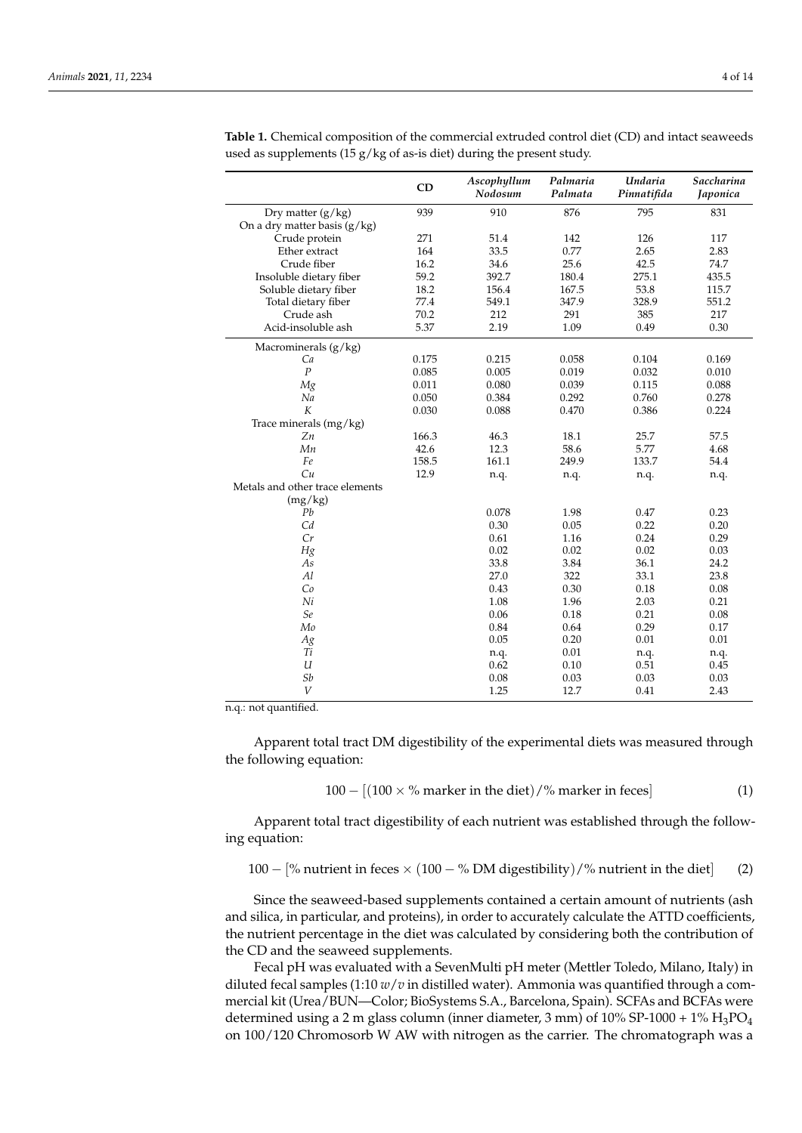|                                 | CD    | Ascophyllum<br>Nodosum | Palmaria<br>Palmata | Undaria<br>Pinnatifida | Saccharina<br>Japonica |
|---------------------------------|-------|------------------------|---------------------|------------------------|------------------------|
| Dry matter $(g/kg)$             | 939   | 910                    | 876                 | 795                    | 831                    |
| On a dry matter basis (g/kg)    |       |                        |                     |                        |                        |
| Crude protein                   | 271   | 51.4                   | 142                 | 126                    | 117                    |
| Ether extract                   | 164   | 33.5                   | 0.77                | 2.65                   | 2.83                   |
| Crude fiber                     | 16.2  | 34.6                   | 25.6                | 42.5                   | 74.7                   |
| Insoluble dietary fiber         | 59.2  | 392.7                  | 180.4               | 275.1                  | 435.5                  |
| Soluble dietary fiber           | 18.2  | 156.4                  | 167.5               | 53.8                   | 115.7                  |
| Total dietary fiber             | 77.4  | 549.1                  | 347.9               | 328.9                  | 551.2                  |
| Crude ash                       | 70.2  | 212                    | 291                 | 385                    | 217                    |
| Acid-insoluble ash              | 5.37  | 2.19                   | 1.09                | 0.49                   | 0.30                   |
| Macrominerals (g/kg)            |       |                        |                     |                        |                        |
| Ca                              | 0.175 | 0.215                  | 0.058               | 0.104                  | 0.169                  |
| $\boldsymbol{P}$                | 0.085 | 0.005                  | 0.019               | 0.032                  | 0.010                  |
| Mg                              | 0.011 | 0.080                  | 0.039               | 0.115                  | 0.088                  |
| Na                              | 0.050 | 0.384                  | 0.292               | 0.760                  | 0.278                  |
| K                               | 0.030 | 0.088                  | 0.470               | 0.386                  | 0.224                  |
| Trace minerals (mg/kg)          |       |                        |                     |                        |                        |
| Zn                              | 166.3 | 46.3                   | 18.1                | 25.7                   | 57.5                   |
| Mn                              | 42.6  | 12.3                   | 58.6                | 5.77                   | 4.68                   |
| Fe                              | 158.5 | 161.1                  | 249.9               | 133.7                  | 54.4                   |
| Cu                              | 12.9  | n.q.                   | n.q.                | n.q.                   | n.q.                   |
| Metals and other trace elements |       |                        |                     |                        |                        |
| (mg/kg)                         |       |                        |                     |                        |                        |
| Pb                              |       | 0.078                  | 1.98                | 0.47                   | 0.23                   |
| Cd                              |       | 0.30                   | 0.05                | 0.22                   | 0.20                   |
| Cr                              |       | 0.61                   | 1.16                | 0.24                   | 0.29                   |
| Hg                              |       | 0.02                   | 0.02                | 0.02                   | 0.03                   |
| As                              |       | 33.8                   | 3.84                | 36.1                   | 24.2                   |
| Al                              |       | 27.0                   | 322                 | 33.1                   | 23.8                   |
| Co                              |       | 0.43                   | 0.30                | 0.18                   | $0.08\,$               |
| Ni                              |       | 1.08                   | 1.96                | 2.03                   | 0.21                   |
| Se                              |       | 0.06                   | 0.18                | 0.21                   | 0.08                   |
| Mo                              |       | 0.84                   | 0.64                | 0.29                   | 0.17                   |
| Ag                              |       | 0.05                   | 0.20                | 0.01                   | 0.01                   |
| Ti                              |       | n.q.                   | 0.01                | n.q.                   | n.q.                   |
| $\mathfrak u$                   |       | 0.62                   | 0.10                | 0.51                   | 0.45                   |
| Sb                              |       | 0.08                   | 0.03                | 0.03                   | 0.03                   |
| V                               |       | 1.25                   | 12.7                | 0.41                   | 2.43                   |

<span id="page-3-0"></span>**Table 1.** Chemical composition of the commercial extruded control diet (CD) and intact seaweeds used as supplements (15  $g/kg$  of as-is diet) during the present study.

n.q.: not quantified.

Apparent total tract DM digestibility of the experimental diets was measured through the following equation:

$$
100 - [(100 \times % \text{ marker in the diet})\text{/% marker in feces}] \tag{1}
$$

Apparent total tract digestibility of each nutrient was established through the following equation:

100 – 
$$
[%
$$
 nutrient in feces × (100 – % DM digestibility)/% nutrient in the diet] (2)

Since the seaweed-based supplements contained a certain amount of nutrients (ash and silica, in particular, and proteins), in order to accurately calculate the ATTD coefficients, the nutrient percentage in the diet was calculated by considering both the contribution of the CD and the seaweed supplements.

Fecal pH was evaluated with a SevenMulti pH meter (Mettler Toledo, Milano, Italy) in diluted fecal samples (1:10 *w*/*v* in distilled water). Ammonia was quantified through a commercial kit (Urea/BUN—Color; BioSystems S.A., Barcelona, Spain). SCFAs and BCFAs were determined using a 2 m glass column (inner diameter, 3 mm) of  $10\%$  SP-1000 +  $1\%$  H<sub>3</sub>PO<sub>4</sub> on 100/120 Chromosorb W AW with nitrogen as the carrier. The chromatograph was a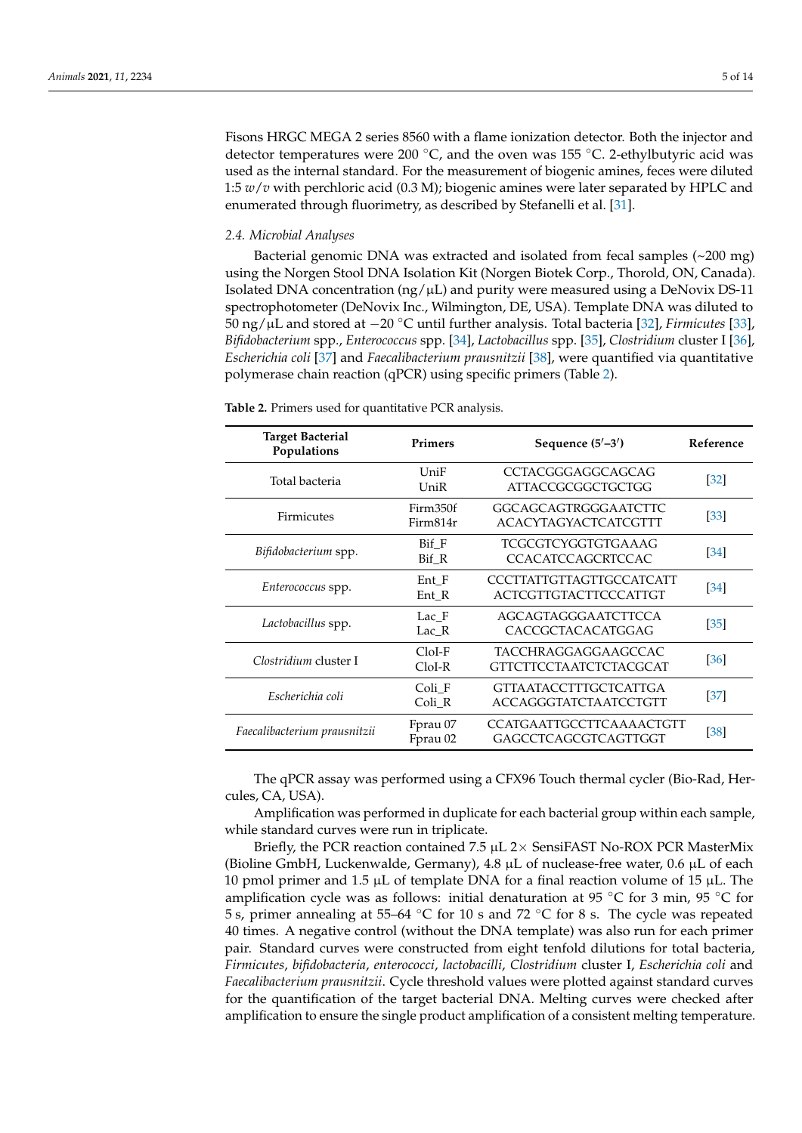Fisons HRGC MEGA 2 series 8560 with a flame ionization detector. Both the injector and detector temperatures were 200 °C, and the oven was 155 °C. 2-ethylbutyric acid was used as the internal standard. For the measurement of biogenic amines, feces were diluted 1:5 *w*/*v* with perchloric acid (0.3 M); biogenic amines were later separated by HPLC and enumerated through fluorimetry, as described by Stefanelli et al. [\[31\]](#page-11-18).

## *2.4. Microbial Analyses*

Bacterial genomic DNA was extracted and isolated from fecal samples (~200 mg) using the Norgen Stool DNA Isolation Kit (Norgen Biotek Corp., Thorold, ON, Canada). Isolated DNA concentration ( $ng/\mu L$ ) and purity were measured using a DeNovix DS-11 spectrophotometer (DeNovix Inc., Wilmington, DE, USA). Template DNA was diluted to 50 ng/µL and stored at −20 ◦C until further analysis. Total bacteria [\[32\]](#page-11-19), *Firmicutes* [\[33\]](#page-11-20), *Bifidobacterium* spp., *Enterococcus* spp. [\[34\]](#page-11-21), *Lactobacillus* spp. [\[35\]](#page-11-22), *Clostridium* cluster I [\[36\]](#page-11-23), *Escherichia coli* [\[37\]](#page-11-24) and *Faecalibacterium prausnitzii* [\[38\]](#page-11-25), were quantified via quantitative polymerase chain reaction (qPCR) using specific primers (Table [2\)](#page-4-0).

| <b>Target Bacterial</b><br>Populations | <b>Primers</b>       | Sequence $(5'-3')$                                           | Reference |
|----------------------------------------|----------------------|--------------------------------------------------------------|-----------|
| Total bacteria                         | UniF<br>UniR         | CCTACGGGAGGCAGCAG<br>ATTACCGCGGCTGCTGG                       |           |
| <b>Firmicutes</b>                      | Firm350f<br>Firm814r | <b>GGCAGCAGTRGGGAATCTTC</b><br><b>ACACYTAGYACTCATCGTTT</b>   | [33]      |
| Bifidobacterium spp.                   | Bif F<br>Bif R       | TCGCGTCYGGTGTGAAAG<br><b>CCACATCCAGCRTCCAC</b>               | [34]      |
| Enterococcus spp.                      | Ent F<br>Ent_R       | CCCTTATTGTTAGTTGCCATCATT<br><b>ACTCGTTGTACTTCCCATTGT</b>     | [34]      |
| Lactobacillus spp.                     | Lac F<br>Lac R       | AGCAGTAGGGAATCTTCCA<br>CACCGCTACACATGGAG                     | [35]      |
| Clostridium cluster I                  | $CloI-F$<br>$CloI-R$ | TACCHRAGGAGGAAGCCAC<br><b>GTTCTTCCTAATCTCTACGCAT</b>         | [36]      |
| Escherichia coli                       | Coli F<br>Coli R     | <b>GTTAATACCTTTGCTCATTGA</b><br><b>ACCAGGGTATCTAATCCTGTT</b> | [37]      |
| Faecalibacterium prausnitzii           | Fprau 07<br>Fprau 02 | <b>CCATGAATTGCCTTCAAAACTGTT</b><br>GAGCCTCAGCGTCAGTTGGT      | [38]      |

<span id="page-4-0"></span>**Table 2.** Primers used for quantitative PCR analysis.

The qPCR assay was performed using a CFX96 Touch thermal cycler (Bio-Rad, Hercules, CA, USA).

Amplification was performed in duplicate for each bacterial group within each sample, while standard curves were run in triplicate.

Briefly, the PCR reaction contained 7.5  $\mu$ L 2× SensiFAST No-ROX PCR MasterMix (Bioline GmbH, Luckenwalde, Germany),  $4.8 \mu$ L of nuclease-free water,  $0.6 \mu$ L of each 10 pmol primer and 1.5  $\mu$ L of template DNA for a final reaction volume of 15  $\mu$ L. The amplification cycle was as follows: initial denaturation at 95 °C for 3 min, 95 °C for 5 s, primer annealing at 55–64 ◦C for 10 s and 72 ◦C for 8 s. The cycle was repeated 40 times. A negative control (without the DNA template) was also run for each primer pair. Standard curves were constructed from eight tenfold dilutions for total bacteria, *Firmicutes*, *bifidobacteria*, *enterococci*, *lactobacilli*, *Clostridium* cluster I, *Escherichia coli* and *Faecalibacterium prausnitzii*. Cycle threshold values were plotted against standard curves for the quantification of the target bacterial DNA. Melting curves were checked after amplification to ensure the single product amplification of a consistent melting temperature.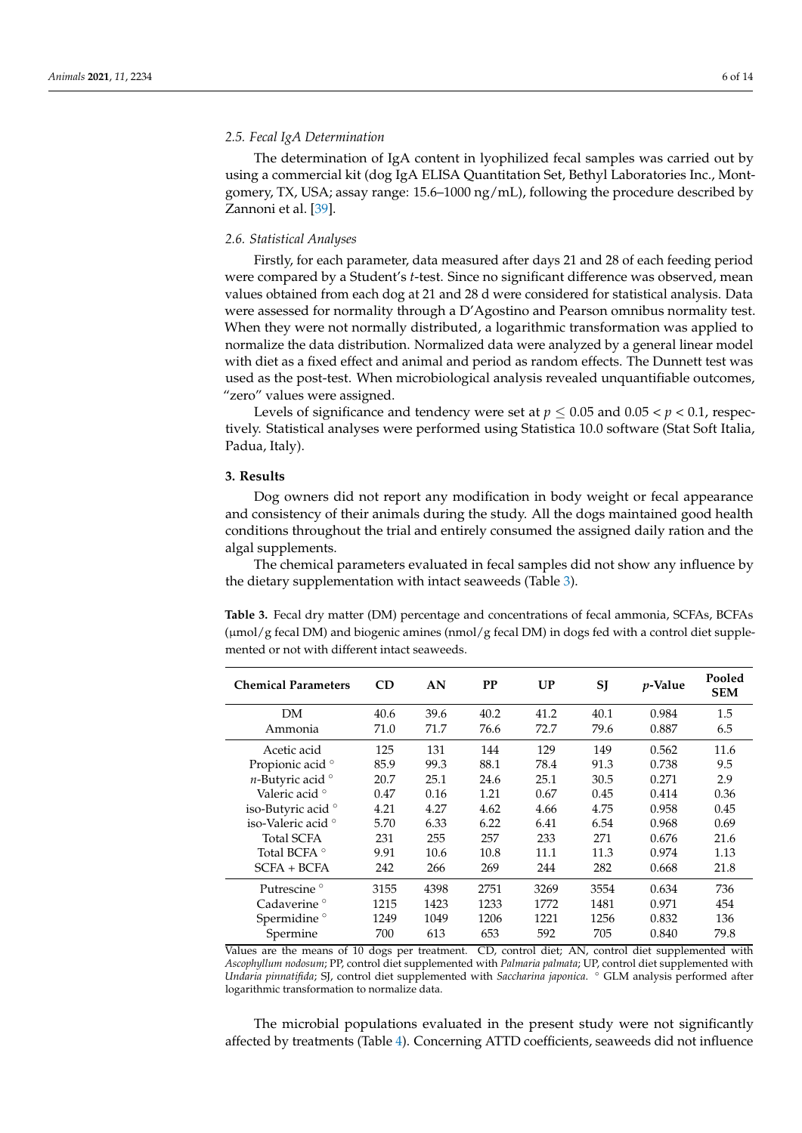## *2.5. Fecal IgA Determination*

The determination of IgA content in lyophilized fecal samples was carried out by using a commercial kit (dog IgA ELISA Quantitation Set, Bethyl Laboratories Inc., Montgomery, TX, USA; assay range: 15.6–1000 ng/mL), following the procedure described by Zannoni et al. [\[39\]](#page-12-0).

## *2.6. Statistical Analyses*

Firstly, for each parameter, data measured after days 21 and 28 of each feeding period were compared by a Student's *t*-test. Since no significant difference was observed, mean values obtained from each dog at 21 and 28 d were considered for statistical analysis. Data were assessed for normality through a D'Agostino and Pearson omnibus normality test. When they were not normally distributed, a logarithmic transformation was applied to normalize the data distribution. Normalized data were analyzed by a general linear model with diet as a fixed effect and animal and period as random effects. The Dunnett test was used as the post-test. When microbiological analysis revealed unquantifiable outcomes, "zero" values were assigned.

Levels of significance and tendency were set at  $p \leq 0.05$  and  $0.05 < p < 0.1$ , respectively. Statistical analyses were performed using Statistica 10.0 software (Stat Soft Italia, Padua, Italy).

## **3. Results**

Dog owners did not report any modification in body weight or fecal appearance and consistency of their animals during the study. All the dogs maintained good health conditions throughout the trial and entirely consumed the assigned daily ration and the algal supplements.

The chemical parameters evaluated in fecal samples did not show any influence by the dietary supplementation with intact seaweeds (Table [3\)](#page-5-0).

<span id="page-5-0"></span>**Table 3.** Fecal dry matter (DM) percentage and concentrations of fecal ammonia, SCFAs, BCFAs (µmol/g fecal DM) and biogenic amines (nmol/g fecal DM) in dogs fed with a control diet supplemented or not with different intact seaweeds.

| <b>Chemical Parameters</b>    | <b>CD</b> | AN   | <b>PP</b> | UP   | SJ   | <i>p</i> -Value | Pooled<br><b>SEM</b> |
|-------------------------------|-----------|------|-----------|------|------|-----------------|----------------------|
| DM                            | 40.6      | 39.6 | 40.2      | 41.2 | 40.1 | 0.984           | 1.5                  |
| Ammonia                       | 71.0      | 71.7 | 76.6      | 72.7 | 79.6 | 0.887           | 6.5                  |
| Acetic acid                   | 125       | 131  | 144       | 129  | 149  | 0.562           | 11.6                 |
| Propionic acid <sup>o</sup>   | 85.9      | 99.3 | 88.1      | 78.4 | 91.3 | 0.738           | 9.5                  |
| $n$ -Butyric acid $\circ$     | 20.7      | 25.1 | 24.6      | 25.1 | 30.5 | 0.271           | 2.9                  |
| Valeric acid <sup>o</sup>     | 0.47      | 0.16 | 1.21      | 0.67 | 0.45 | 0.414           | 0.36                 |
| iso-Butyric acid <sup>o</sup> | 4.21      | 4.27 | 4.62      | 4.66 | 4.75 | 0.958           | 0.45                 |
| iso-Valeric acid °            | 5.70      | 6.33 | 6.22      | 6.41 | 6.54 | 0.968           | 0.69                 |
| Total SCFA                    | 231       | 255  | 257       | 233  | 271  | 0.676           | 21.6                 |
| Total BCFA °                  | 9.91      | 10.6 | 10.8      | 11.1 | 11.3 | 0.974           | 1.13                 |
| $SCFA + BCFA$                 | 242       | 266  | 269       | 244  | 282  | 0.668           | 21.8                 |
| Putrescine <sup>o</sup>       | 3155      | 4398 | 2751      | 3269 | 3554 | 0.634           | 736                  |
| Cadaverine °                  | 1215      | 1423 | 1233      | 1772 | 1481 | 0.971           | 454                  |
| Spermidine <sup>o</sup>       | 1249      | 1049 | 1206      | 1221 | 1256 | 0.832           | 136                  |
| Spermine                      | 700       | 613  | 653       | 592  | 705  | 0.840           | 79.8                 |

Values are the means of 10 dogs per treatment. CD, control diet; AN, control diet supplemented with *Ascophyllum nodosum*; PP, control diet supplemented with *Palmaria palmata*; UP, control diet supplemented with *Undaria pinnatifida*; SJ, control diet supplemented with *Saccharina japonica*. ◦ GLM analysis performed after logarithmic transformation to normalize data.

The microbial populations evaluated in the present study were not significantly affected by treatments (Table [4\)](#page-6-0). Concerning ATTD coefficients, seaweeds did not influence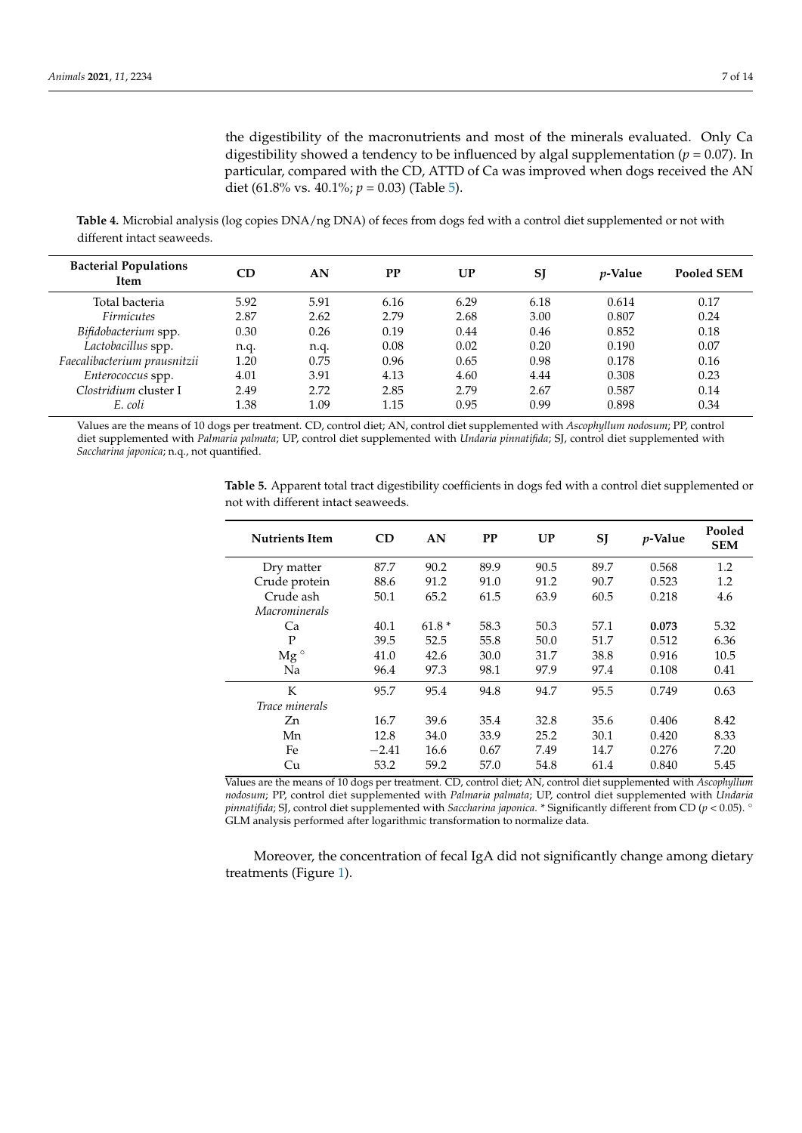the digestibility of the macronutrients and most of the minerals evaluated. Only Ca digestibility showed a tendency to be influenced by algal supplementation  $(p = 0.07)$ . In particular, compared with the CD, ATTD of Ca was improved when dogs received the AN diet (61.8% vs. 40.1%; *p* = 0.03) (Table [5\)](#page-6-1).

<span id="page-6-0"></span>**Table 4.** Microbial analysis (log copies DNA/ng DNA) of feces from dogs fed with a control diet supplemented or not with different intact seaweeds.

| <b>Bacterial Populations</b><br>Item | CD   | AN   | <b>PP</b> | UP   | <b>SI</b> | <i>p</i> -Value | <b>Pooled SEM</b> |
|--------------------------------------|------|------|-----------|------|-----------|-----------------|-------------------|
| Total bacteria                       | 5.92 | 5.91 | 6.16      | 6.29 | 6.18      | 0.614           | 0.17              |
| <b>Firmicutes</b>                    | 2.87 | 2.62 | 2.79      | 2.68 | 3.00      | 0.807           | 0.24              |
| Bifidobacterium spp.                 | 0.30 | 0.26 | 0.19      | 0.44 | 0.46      | 0.852           | 0.18              |
| Lactobacillus spp.                   | n.q. | n.q. | 0.08      | 0.02 | 0.20      | 0.190           | 0.07              |
| Faecalibacterium prausnitzii         | 1.20 | 0.75 | 0.96      | 0.65 | 0.98      | 0.178           | 0.16              |
| Enterococcus spp.                    | 4.01 | 3.91 | 4.13      | 4.60 | 4.44      | 0.308           | 0.23              |
| Clostridium cluster I                | 2.49 | 2.72 | 2.85      | 2.79 | 2.67      | 0.587           | 0.14              |
| E. coli                              | 1.38 | 1.09 | 1.15      | 0.95 | 0.99      | 0.898           | 0.34              |

Values are the means of 10 dogs per treatment. CD, control diet; AN, control diet supplemented with *Ascophyllum nodosum*; PP, control diet supplemented with *Palmaria palmata*; UP, control diet supplemented with *Undaria pinnatifida*; SJ, control diet supplemented with *Saccharina japonica*; n.q., not quantified.

> <span id="page-6-1"></span>**Table 5.** Apparent total tract digestibility coefficients in dogs fed with a control diet supplemented or not with different intact seaweeds.

| <b>Nutrients Item</b> | CD      | AN      | <b>PP</b> | UP   | SJ   | $p$ -Value | Pooled<br><b>SEM</b> |
|-----------------------|---------|---------|-----------|------|------|------------|----------------------|
| Dry matter            | 87.7    | 90.2    | 89.9      | 90.5 | 89.7 | 0.568      | 1.2                  |
| Crude protein         | 88.6    | 91.2    | 91.0      | 91.2 | 90.7 | 0.523      | 1.2                  |
| Crude ash             | 50.1    | 65.2    | 61.5      | 63.9 | 60.5 | 0.218      | 4.6                  |
| Macrominerals         |         |         |           |      |      |            |                      |
| Ca                    | 40.1    | $61.8*$ | 58.3      | 50.3 | 57.1 | 0.073      | 5.32                 |
| P                     | 39.5    | 52.5    | 55.8      | 50.0 | 51.7 | 0.512      | 6.36                 |
| $Mg^{\circ}$          | 41.0    | 42.6    | 30.0      | 31.7 | 38.8 | 0.916      | 10.5                 |
| Na                    | 96.4    | 97.3    | 98.1      | 97.9 | 97.4 | 0.108      | 0.41                 |
| K                     | 95.7    | 95.4    | 94.8      | 94.7 | 95.5 | 0.749      | 0.63                 |
| <i>Trace minerals</i> |         |         |           |      |      |            |                      |
| Zn                    | 16.7    | 39.6    | 35.4      | 32.8 | 35.6 | 0.406      | 8.42                 |
| Mn                    | 12.8    | 34.0    | 33.9      | 25.2 | 30.1 | 0.420      | 8.33                 |
| Fe                    | $-2.41$ | 16.6    | 0.67      | 7.49 | 14.7 | 0.276      | 7.20                 |
| Cu                    | 53.2    | 59.2    | 57.0      | 54.8 | 61.4 | 0.840      | 5.45                 |

Values are the means of 10 dogs per treatment. CD, control diet; AN, control diet supplemented with *Ascophyllum nodosum*; PP, control diet supplemented with *Palmaria palmata*; UP, control diet supplemented with *Undaria pinnatifida*; SJ, control diet supplemented with *Saccharina japonica*. \* Significantly different from CD (*p* < 0.05). ◦ GLM analysis performed after logarithmic transformation to normalize data.

Moreover, the concentration of fecal IgA did not significantly change among dietary treatments (Figure [1\)](#page-7-0).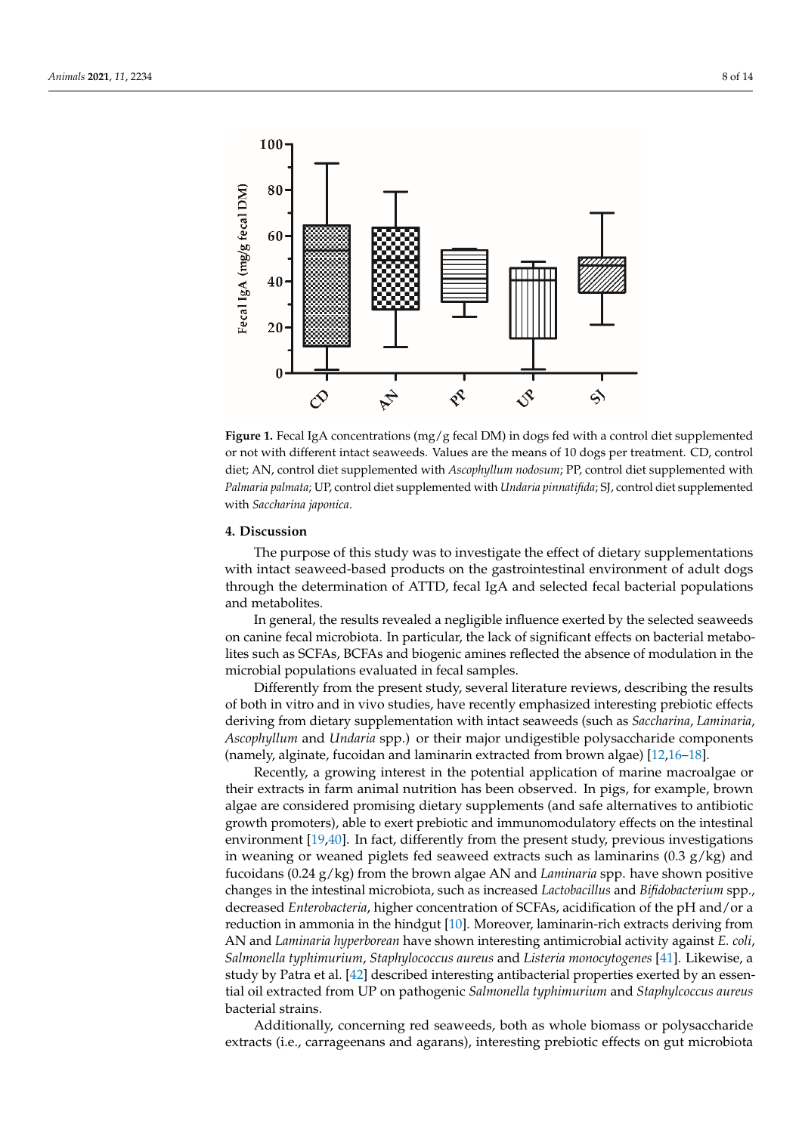<span id="page-7-0"></span>

or not with different intact seaweeds. Values are the means of 10 dogs per treatment. CD, control diet; AN, control diet supplemented with *Ascophyllum nodosum*; PP, control diet supplemented with diet; AN, control diet supplemented with *Ascophyllum nodosum*; PP, control diet supplemented Palmaria palmata; UP, control diet supplemented with *Undaria pinnatifida*; SJ, control diet supplemented<br>ideologi with *Saccharina japonica*. **Figure 1.** Fecal IgA concentrations (mg/g fecal DM) in dogs fed with a control diet supplemented

#### **4. Discussion**

The purpose of this study was to investigate the effect of dietary supplementations with intact seaweed-based products on the gastrointestinal environment of adult dogs through the determination of ATTD, fecal IgA and selected fecal bacterial populations through the determination of ATTD, fecal IgA and selected fecal backerial populations and selected fecal backerial populations and  $\frac{1}{2}$ 

In general, the results revealed a negligible influence exerted by the selected seaweeds on canine fecal microbiota. In particular, the lack of significant effects on bacterial metabolites such as SCFAs, BCFAs and biogenic amines reflected the absence of modulation in the microbial populations evaluated in fecal samples.

Differently from the present study, several literature reviews, describing the results of both in vitro and in vivo studies, have recently emphasized interesting prebiotic effects deriving from dietary supplementation with intact seaweeds (such as *Saccharina*, *Laminaria*, *Ascophyllum* and *Undaria* spp.) or their major undigestible polysaccharide components (namely, alginate, fucoidan and laminarin extracted from brown algae) [\[12](#page-11-0)[,16](#page-11-26)[–18\]](#page-11-5).

Recently, a growing interest in the potential application of marine macroalgae or their extracts in farm animal nutrition has been observed. In pigs, for example, brown algae are considered promising dietary supplements (and safe alternatives to antibiotic growth promoters), able to exert prebiotic and immunomodulatory effects on the intestinal environment [\[19,](#page-11-6)[40\]](#page-12-1). In fact, differently from the present study, previous investigations in weaning or weaned piglets fed seaweed extracts such as laminarins  $(0.3 \text{ g/kg})$  and fucoidans (0.24 g/kg) from the brown algae AN and *Laminaria* spp. have shown positive changes in the intestinal microbiota, such as increased *Lactobacillus* and *Bifidobacterium* spp., decreased *Enterobacteria*, higher concentration of SCFAs, acidification of the pH and/or a reduction in ammonia in the hindgut [\[10\]](#page-10-9). Moreover, laminarin-rich extracts deriving from AN and *Laminaria hyperborean* have shown interesting antimicrobial activity against *E. coli*, *Salmonella typhimurium*, *Staphylococcus aureus* and *Listeria monocytogenes* [\[41\]](#page-12-2). Likewise, a study by Patra et al. [\[42\]](#page-12-3) described interesting antibacterial properties exerted by an essential oil extracted from UP on pathogenic *Salmonella typhimurium* and *Staphylcoccus aureus* bacterial strains.

Additionally, concerning red seaweeds, both as whole biomass or polysaccharide extracts (i.e., carrageenans and agarans), interesting prebiotic effects on gut microbiota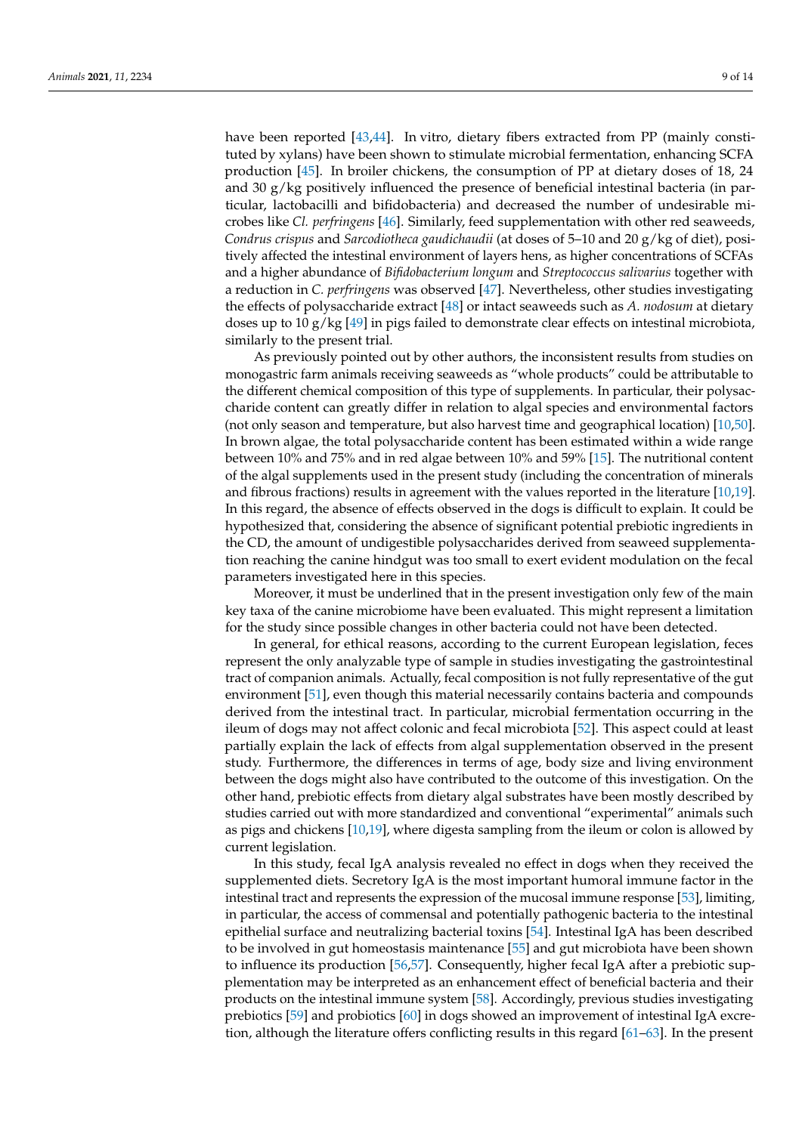have been reported [\[43,](#page-12-4)[44\]](#page-12-5). In vitro, dietary fibers extracted from PP (mainly constituted by xylans) have been shown to stimulate microbial fermentation, enhancing SCFA production [\[45\]](#page-12-6). In broiler chickens, the consumption of PP at dietary doses of 18, 24 and 30 g/kg positively influenced the presence of beneficial intestinal bacteria (in particular, lactobacilli and bifidobacteria) and decreased the number of undesirable microbes like *Cl. perfringens* [\[46\]](#page-12-7). Similarly, feed supplementation with other red seaweeds, *Condrus crispus* and *Sarcodiotheca gaudichaudii* (at doses of 5–10 and 20 g/kg of diet), positively affected the intestinal environment of layers hens, as higher concentrations of SCFAs and a higher abundance of *Bifidobacterium longum* and *Streptococcus salivarius* together with a reduction in *C. perfringens* was observed [\[47\]](#page-12-8). Nevertheless, other studies investigating the effects of polysaccharide extract [\[48\]](#page-12-9) or intact seaweeds such as *A. nodosum* at dietary doses up to 10 g/kg [\[49\]](#page-12-10) in pigs failed to demonstrate clear effects on intestinal microbiota, similarly to the present trial.

As previously pointed out by other authors, the inconsistent results from studies on monogastric farm animals receiving seaweeds as "whole products" could be attributable to the different chemical composition of this type of supplements. In particular, their polysaccharide content can greatly differ in relation to algal species and environmental factors (not only season and temperature, but also harvest time and geographical location) [\[10](#page-10-9)[,50\]](#page-12-11). In brown algae, the total polysaccharide content has been estimated within a wide range between 10% and 75% and in red algae between 10% and 59% [\[15\]](#page-11-3). The nutritional content of the algal supplements used in the present study (including the concentration of minerals and fibrous fractions) results in agreement with the values reported in the literature [\[10](#page-10-9)[,19\]](#page-11-6). In this regard, the absence of effects observed in the dogs is difficult to explain. It could be hypothesized that, considering the absence of significant potential prebiotic ingredients in the CD, the amount of undigestible polysaccharides derived from seaweed supplementation reaching the canine hindgut was too small to exert evident modulation on the fecal parameters investigated here in this species.

Moreover, it must be underlined that in the present investigation only few of the main key taxa of the canine microbiome have been evaluated. This might represent a limitation for the study since possible changes in other bacteria could not have been detected.

In general, for ethical reasons, according to the current European legislation, feces represent the only analyzable type of sample in studies investigating the gastrointestinal tract of companion animals. Actually, fecal composition is not fully representative of the gut environment [\[51\]](#page-12-12), even though this material necessarily contains bacteria and compounds derived from the intestinal tract. In particular, microbial fermentation occurring in the ileum of dogs may not affect colonic and fecal microbiota [\[52\]](#page-12-13). This aspect could at least partially explain the lack of effects from algal supplementation observed in the present study. Furthermore, the differences in terms of age, body size and living environment between the dogs might also have contributed to the outcome of this investigation. On the other hand, prebiotic effects from dietary algal substrates have been mostly described by studies carried out with more standardized and conventional "experimental" animals such as pigs and chickens [\[10](#page-10-9)[,19\]](#page-11-6), where digesta sampling from the ileum or colon is allowed by current legislation.

In this study, fecal IgA analysis revealed no effect in dogs when they received the supplemented diets. Secretory IgA is the most important humoral immune factor in the intestinal tract and represents the expression of the mucosal immune response [\[53\]](#page-12-14), limiting, in particular, the access of commensal and potentially pathogenic bacteria to the intestinal epithelial surface and neutralizing bacterial toxins [\[54\]](#page-12-15). Intestinal IgA has been described to be involved in gut homeostasis maintenance [\[55\]](#page-12-16) and gut microbiota have been shown to influence its production [\[56,](#page-12-17)[57\]](#page-12-18). Consequently, higher fecal IgA after a prebiotic supplementation may be interpreted as an enhancement effect of beneficial bacteria and their products on the intestinal immune system [\[58\]](#page-12-19). Accordingly, previous studies investigating prebiotics [\[59\]](#page-12-20) and probiotics [\[60\]](#page-12-21) in dogs showed an improvement of intestinal IgA excretion, although the literature offers conflicting results in this regard [\[61–](#page-12-22)[63\]](#page-13-0). In the present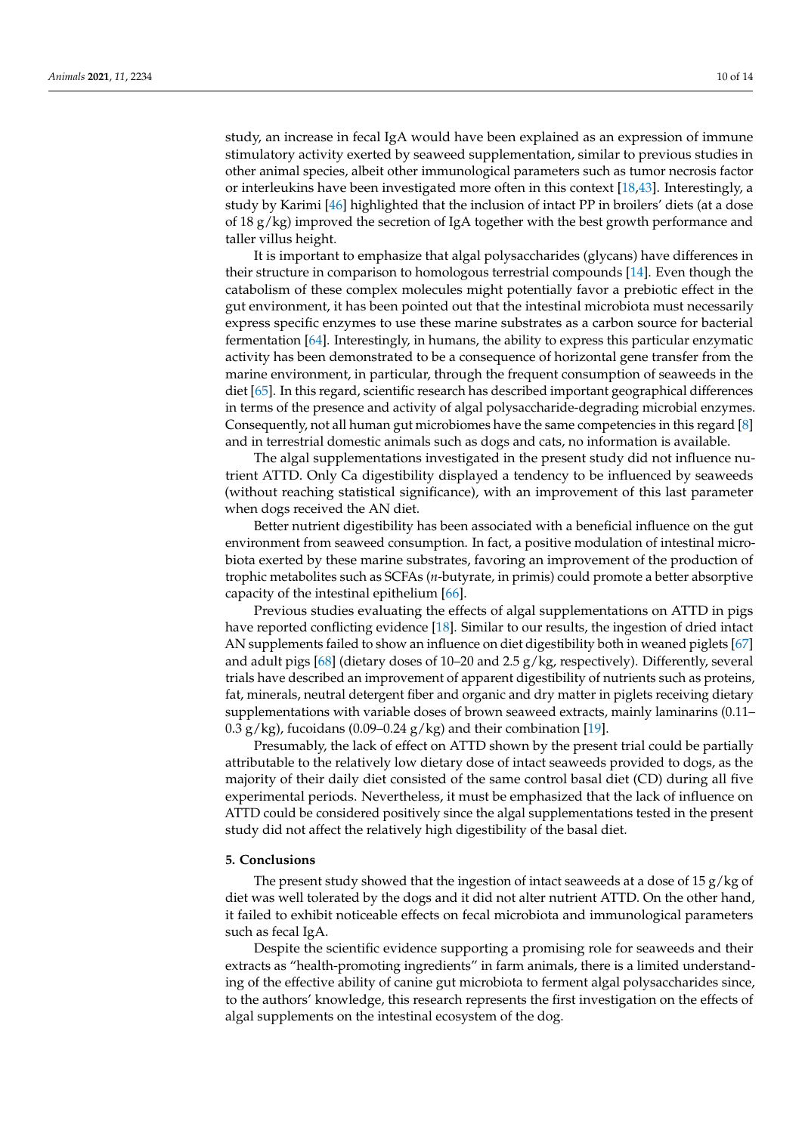study, an increase in fecal IgA would have been explained as an expression of immune stimulatory activity exerted by seaweed supplementation, similar to previous studies in other animal species, albeit other immunological parameters such as tumor necrosis factor or interleukins have been investigated more often in this context [\[18,](#page-11-5)[43\]](#page-12-4). Interestingly, a study by Karimi [\[46\]](#page-12-7) highlighted that the inclusion of intact PP in broilers' diets (at a dose of 18 g/kg) improved the secretion of IgA together with the best growth performance and taller villus height.

It is important to emphasize that algal polysaccharides (glycans) have differences in their structure in comparison to homologous terrestrial compounds [\[14\]](#page-11-2). Even though the catabolism of these complex molecules might potentially favor a prebiotic effect in the gut environment, it has been pointed out that the intestinal microbiota must necessarily express specific enzymes to use these marine substrates as a carbon source for bacterial fermentation [\[64\]](#page-13-1). Interestingly, in humans, the ability to express this particular enzymatic activity has been demonstrated to be a consequence of horizontal gene transfer from the marine environment, in particular, through the frequent consumption of seaweeds in the diet [\[65\]](#page-13-2). In this regard, scientific research has described important geographical differences in terms of the presence and activity of algal polysaccharide-degrading microbial enzymes. Consequently, not all human gut microbiomes have the same competencies in this regard [\[8\]](#page-10-7) and in terrestrial domestic animals such as dogs and cats, no information is available.

The algal supplementations investigated in the present study did not influence nutrient ATTD. Only Ca digestibility displayed a tendency to be influenced by seaweeds (without reaching statistical significance), with an improvement of this last parameter when dogs received the AN diet.

Better nutrient digestibility has been associated with a beneficial influence on the gut environment from seaweed consumption. In fact, a positive modulation of intestinal microbiota exerted by these marine substrates, favoring an improvement of the production of trophic metabolites such as SCFAs (*n*-butyrate, in primis) could promote a better absorptive capacity of the intestinal epithelium [\[66\]](#page-13-3).

Previous studies evaluating the effects of algal supplementations on ATTD in pigs have reported conflicting evidence [\[18\]](#page-11-5). Similar to our results, the ingestion of dried intact AN supplements failed to show an influence on diet digestibility both in weaned piglets [\[67\]](#page-13-4) and adult pigs [\[68\]](#page-13-5) (dietary doses of 10–20 and 2.5 g/kg, respectively). Differently, several trials have described an improvement of apparent digestibility of nutrients such as proteins, fat, minerals, neutral detergent fiber and organic and dry matter in piglets receiving dietary supplementations with variable doses of brown seaweed extracts, mainly laminarins (0.11– 0.3 g/kg), fucoidans (0.09–0.24 g/kg) and their combination [\[19\]](#page-11-6).

Presumably, the lack of effect on ATTD shown by the present trial could be partially attributable to the relatively low dietary dose of intact seaweeds provided to dogs, as the majority of their daily diet consisted of the same control basal diet (CD) during all five experimental periods. Nevertheless, it must be emphasized that the lack of influence on ATTD could be considered positively since the algal supplementations tested in the present study did not affect the relatively high digestibility of the basal diet.

## **5. Conclusions**

The present study showed that the ingestion of intact seaweeds at a dose of 15 g/kg of diet was well tolerated by the dogs and it did not alter nutrient ATTD. On the other hand, it failed to exhibit noticeable effects on fecal microbiota and immunological parameters such as fecal IgA.

Despite the scientific evidence supporting a promising role for seaweeds and their extracts as "health-promoting ingredients" in farm animals, there is a limited understanding of the effective ability of canine gut microbiota to ferment algal polysaccharides since, to the authors' knowledge, this research represents the first investigation on the effects of algal supplements on the intestinal ecosystem of the dog.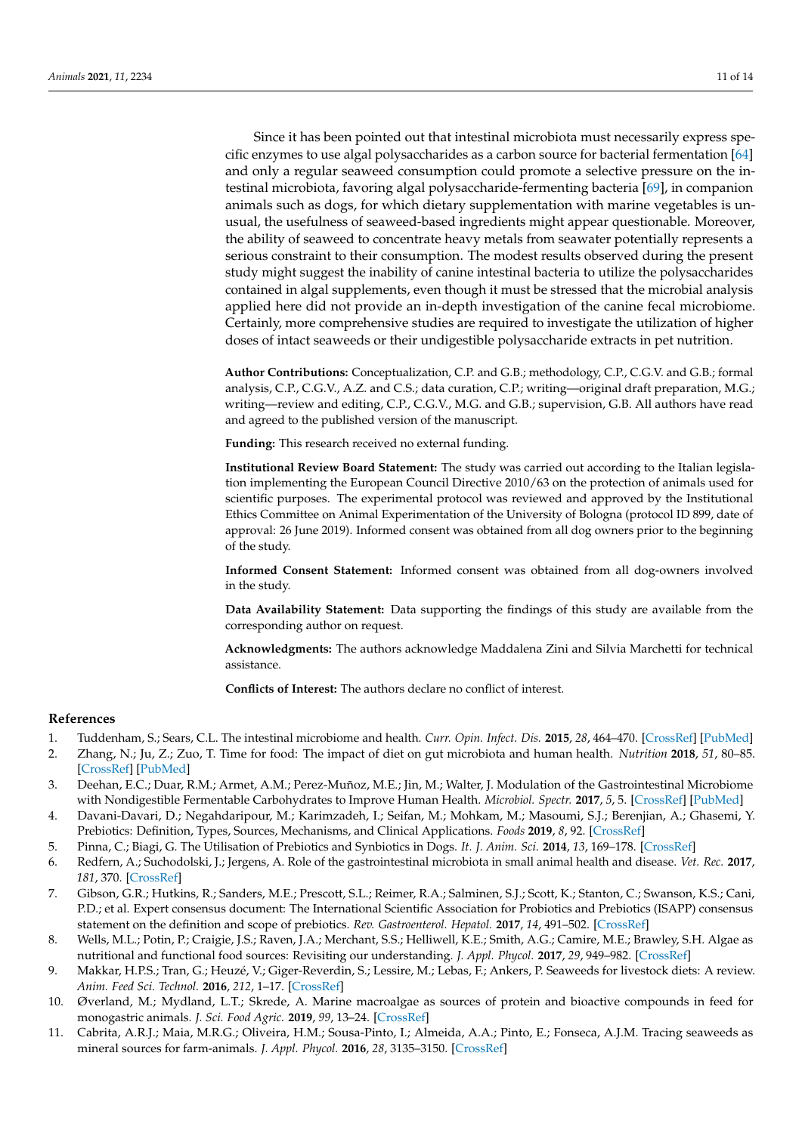Since it has been pointed out that intestinal microbiota must necessarily express specific enzymes to use algal polysaccharides as a carbon source for bacterial fermentation [\[64\]](#page-13-1) and only a regular seaweed consumption could promote a selective pressure on the intestinal microbiota, favoring algal polysaccharide-fermenting bacteria [\[69\]](#page-13-6), in companion animals such as dogs, for which dietary supplementation with marine vegetables is unusual, the usefulness of seaweed-based ingredients might appear questionable. Moreover, the ability of seaweed to concentrate heavy metals from seawater potentially represents a serious constraint to their consumption. The modest results observed during the present study might suggest the inability of canine intestinal bacteria to utilize the polysaccharides contained in algal supplements, even though it must be stressed that the microbial analysis applied here did not provide an in-depth investigation of the canine fecal microbiome. Certainly, more comprehensive studies are required to investigate the utilization of higher doses of intact seaweeds or their undigestible polysaccharide extracts in pet nutrition.

**Author Contributions:** Conceptualization, C.P. and G.B.; methodology, C.P., C.G.V. and G.B.; formal analysis, C.P., C.G.V., A.Z. and C.S.; data curation, C.P.; writing—original draft preparation, M.G.; writing—review and editing, C.P., C.G.V., M.G. and G.B.; supervision, G.B. All authors have read and agreed to the published version of the manuscript.

**Funding:** This research received no external funding.

**Institutional Review Board Statement:** The study was carried out according to the Italian legislation implementing the European Council Directive 2010/63 on the protection of animals used for scientific purposes. The experimental protocol was reviewed and approved by the Institutional Ethics Committee on Animal Experimentation of the University of Bologna (protocol ID 899, date of approval: 26 June 2019). Informed consent was obtained from all dog owners prior to the beginning of the study.

**Informed Consent Statement:** Informed consent was obtained from all dog-owners involved in the study.

**Data Availability Statement:** Data supporting the findings of this study are available from the corresponding author on request.

**Acknowledgments:** The authors acknowledge Maddalena Zini and Silvia Marchetti for technical assistance.

**Conflicts of Interest:** The authors declare no conflict of interest.

## **References**

- <span id="page-10-0"></span>1. Tuddenham, S.; Sears, C.L. The intestinal microbiome and health. *Curr. Opin. Infect. Dis.* **2015**, *28*, 464–470. [\[CrossRef\]](http://doi.org/10.1097/QCO.0000000000000196) [\[PubMed\]](http://www.ncbi.nlm.nih.gov/pubmed/26237547)
- <span id="page-10-1"></span>2. Zhang, N.; Ju, Z.; Zuo, T. Time for food: The impact of diet on gut microbiota and human health. *Nutrition* **2018**, *51*, 80–85. [\[CrossRef\]](http://doi.org/10.1016/j.nut.2017.12.005) [\[PubMed\]](http://www.ncbi.nlm.nih.gov/pubmed/29621737)
- <span id="page-10-2"></span>3. Deehan, E.C.; Duar, R.M.; Armet, A.M.; Perez-Muñoz, M.E.; Jin, M.; Walter, J. Modulation of the Gastrointestinal Microbiome with Nondigestible Fermentable Carbohydrates to Improve Human Health. *Microbiol. Spectr.* **2017**, *5*, 5. [\[CrossRef\]](http://doi.org/10.1128/microbiolspec.BAD-0019-2017) [\[PubMed\]](http://www.ncbi.nlm.nih.gov/pubmed/28936943)
- <span id="page-10-3"></span>4. Davani-Davari, D.; Negahdaripour, M.; Karimzadeh, I.; Seifan, M.; Mohkam, M.; Masoumi, S.J.; Berenjian, A.; Ghasemi, Y. Prebiotics: Definition, Types, Sources, Mechanisms, and Clinical Applications. *Foods* **2019**, *8*, 92. [\[CrossRef\]](http://doi.org/10.3390/foods8030092)
- <span id="page-10-4"></span>5. Pinna, C.; Biagi, G. The Utilisation of Prebiotics and Synbiotics in Dogs. *It. J. Anim. Sci.* **2014**, *13*, 169–178. [\[CrossRef\]](http://doi.org/10.4081/ijas.2014.3107)
- <span id="page-10-5"></span>6. Redfern, A.; Suchodolski, J.; Jergens, A. Role of the gastrointestinal microbiota in small animal health and disease. *Vet. Rec.* **2017**, *181*, 370. [\[CrossRef\]](http://doi.org/10.1136/vr.103826)
- <span id="page-10-6"></span>7. Gibson, G.R.; Hutkins, R.; Sanders, M.E.; Prescott, S.L.; Reimer, R.A.; Salminen, S.J.; Scott, K.; Stanton, C.; Swanson, K.S.; Cani, P.D.; et al. Expert consensus document: The International Scientific Association for Probiotics and Prebiotics (ISAPP) consensus statement on the definition and scope of prebiotics. *Rev. Gastroenterol. Hepatol.* **2017**, *14*, 491–502. [\[CrossRef\]](http://doi.org/10.1038/nrgastro.2017.75)
- <span id="page-10-7"></span>8. Wells, M.L.; Potin, P.; Craigie, J.S.; Raven, J.A.; Merchant, S.S.; Helliwell, K.E.; Smith, A.G.; Camire, M.E.; Brawley, S.H. Algae as nutritional and functional food sources: Revisiting our understanding. *J. Appl. Phycol.* **2017**, *29*, 949–982. [\[CrossRef\]](http://doi.org/10.1007/s10811-016-0974-5)
- <span id="page-10-8"></span>9. Makkar, H.P.S.; Tran, G.; Heuzé, V.; Giger-Reverdin, S.; Lessire, M.; Lebas, F.; Ankers, P. Seaweeds for livestock diets: A review. *Anim. Feed Sci. Technol.* **2016**, *212*, 1–17. [\[CrossRef\]](http://doi.org/10.1016/j.anifeedsci.2015.09.018)
- <span id="page-10-9"></span>10. Øverland, M.; Mydland, L.T.; Skrede, A. Marine macroalgae as sources of protein and bioactive compounds in feed for monogastric animals. *J. Sci. Food Agric.* **2019**, *99*, 13–24. [\[CrossRef\]](http://doi.org/10.1002/jsfa.9143)
- <span id="page-10-10"></span>11. Cabrita, A.R.J.; Maia, M.R.G.; Oliveira, H.M.; Sousa-Pinto, I.; Almeida, A.A.; Pinto, E.; Fonseca, A.J.M. Tracing seaweeds as mineral sources for farm-animals. *J. Appl. Phycol.* **2016**, *28*, 3135–3150. [\[CrossRef\]](http://doi.org/10.1007/s10811-016-0839-y)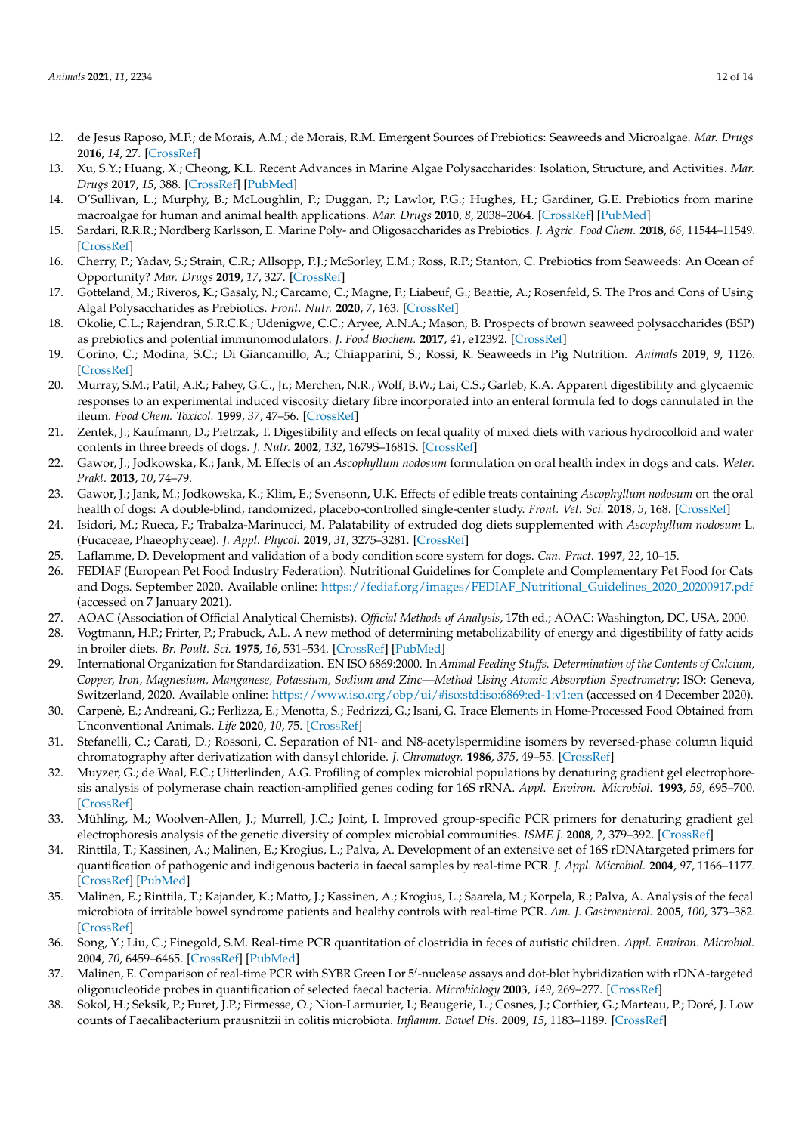- <span id="page-11-0"></span>12. de Jesus Raposo, M.F.; de Morais, A.M.; de Morais, R.M. Emergent Sources of Prebiotics: Seaweeds and Microalgae. *Mar. Drugs* **2016**, *14*, 27. [\[CrossRef\]](http://doi.org/10.3390/md14020027)
- <span id="page-11-1"></span>13. Xu, S.Y.; Huang, X.; Cheong, K.L. Recent Advances in Marine Algae Polysaccharides: Isolation, Structure, and Activities. *Mar. Drugs* **2017**, *15*, 388. [\[CrossRef\]](http://doi.org/10.3390/md15120388) [\[PubMed\]](http://www.ncbi.nlm.nih.gov/pubmed/29236064)
- <span id="page-11-2"></span>14. O'Sullivan, L.; Murphy, B.; McLoughlin, P.; Duggan, P.; Lawlor, P.G.; Hughes, H.; Gardiner, G.E. Prebiotics from marine macroalgae for human and animal health applications. *Mar. Drugs* **2010**, *8*, 2038–2064. [\[CrossRef\]](http://doi.org/10.3390/md8072038) [\[PubMed\]](http://www.ncbi.nlm.nih.gov/pubmed/20714423)
- <span id="page-11-3"></span>15. Sardari, R.R.R.; Nordberg Karlsson, E. Marine Poly- and Oligosaccharides as Prebiotics. *J. Agric. Food Chem.* **2018**, *66*, 11544–11549. [\[CrossRef\]](http://doi.org/10.1021/acs.jafc.8b04418)
- <span id="page-11-26"></span>16. Cherry, P.; Yadav, S.; Strain, C.R.; Allsopp, P.J.; McSorley, E.M.; Ross, R.P.; Stanton, C. Prebiotics from Seaweeds: An Ocean of Opportunity? *Mar. Drugs* **2019**, *17*, 327. [\[CrossRef\]](http://doi.org/10.3390/md17060327)
- <span id="page-11-4"></span>17. Gotteland, M.; Riveros, K.; Gasaly, N.; Carcamo, C.; Magne, F.; Liabeuf, G.; Beattie, A.; Rosenfeld, S. The Pros and Cons of Using Algal Polysaccharides as Prebiotics. *Front. Nutr.* **2020**, *7*, 163. [\[CrossRef\]](http://doi.org/10.3389/fnut.2020.00163)
- <span id="page-11-5"></span>18. Okolie, C.L.; Rajendran, S.R.C.K.; Udenigwe, C.C.; Aryee, A.N.A.; Mason, B. Prospects of brown seaweed polysaccharides (BSP) as prebiotics and potential immunomodulators. *J. Food Biochem.* **2017**, *41*, e12392. [\[CrossRef\]](http://doi.org/10.1111/jfbc.12392)
- <span id="page-11-6"></span>19. Corino, C.; Modina, S.C.; Di Giancamillo, A.; Chiapparini, S.; Rossi, R. Seaweeds in Pig Nutrition. *Animals* **2019**, *9*, 1126. [\[CrossRef\]](http://doi.org/10.3390/ani9121126)
- <span id="page-11-7"></span>20. Murray, S.M.; Patil, A.R.; Fahey, G.C., Jr.; Merchen, N.R.; Wolf, B.W.; Lai, C.S.; Garleb, K.A. Apparent digestibility and glycaemic responses to an experimental induced viscosity dietary fibre incorporated into an enteral formula fed to dogs cannulated in the ileum. *Food Chem. Toxicol.* **1999**, *37*, 47–56. [\[CrossRef\]](http://doi.org/10.1016/S0278-6915(98)00097-0)
- <span id="page-11-8"></span>21. Zentek, J.; Kaufmann, D.; Pietrzak, T. Digestibility and effects on fecal quality of mixed diets with various hydrocolloid and water contents in three breeds of dogs. *J. Nutr.* **2002**, *132*, 1679S–1681S. [\[CrossRef\]](http://doi.org/10.1093/jn/132.6.1679S)
- <span id="page-11-9"></span>22. Gawor, J.; Jodkowska, K.; Jank, M. Effects of an *Ascophyllum nodosum* formulation on oral health index in dogs and cats. *Weter. Prakt.* **2013**, *10*, 74–79.
- <span id="page-11-10"></span>23. Gawor, J.; Jank, M.; Jodkowska, K.; Klim, E.; Svensonn, U.K. Effects of edible treats containing *Ascophyllum nodosum* on the oral health of dogs: A double-blind, randomized, placebo-controlled single-center study. *Front. Vet. Sci.* **2018**, *5*, 168. [\[CrossRef\]](http://doi.org/10.3389/fvets.2018.00168)
- <span id="page-11-11"></span>24. Isidori, M.; Rueca, F.; Trabalza-Marinucci, M. Palatability of extruded dog diets supplemented with *Ascophyllum nodosum* L. (Fucaceae, Phaeophyceae). *J. Appl. Phycol.* **2019**, *31*, 3275–3281. [\[CrossRef\]](http://doi.org/10.1007/s10811-019-01799-5)
- <span id="page-11-12"></span>25. Laflamme, D. Development and validation of a body condition score system for dogs. *Can. Pract.* **1997**, *22*, 10–15.
- <span id="page-11-13"></span>26. FEDIAF (European Pet Food Industry Federation). Nutritional Guidelines for Complete and Complementary Pet Food for Cats and Dogs. September 2020. Available online: [https://fediaf.org/images/FEDIAF\\_Nutritional\\_Guidelines\\_2020\\_20200917.pdf](https://fediaf.org/images/FEDIAF_Nutritional_Guidelines_2020_20200917.pdf) (accessed on 7 January 2021).
- <span id="page-11-14"></span>27. AOAC (Association of Official Analytical Chemists). *Official Methods of Analysis*, 17th ed.; AOAC: Washington, DC, USA, 2000.
- <span id="page-11-15"></span>28. Vogtmann, H.P.; Frirter, P.; Prabuck, A.L. A new method of determining metabolizability of energy and digestibility of fatty acids in broiler diets. *Br. Poult. Sci.* **1975**, *16*, 531–534. [\[CrossRef\]](http://doi.org/10.1080/00071667508416222) [\[PubMed\]](http://www.ncbi.nlm.nih.gov/pubmed/1156932)
- <span id="page-11-16"></span>29. International Organization for Standardization. EN ISO 6869:2000. In *Animal Feeding Stuffs. Determination of the Contents of Calcium, Copper, Iron, Magnesium, Manganese, Potassium, Sodium and Zinc—Method Using Atomic Absorption Spectrometry*; ISO: Geneva, Switzerland, 2020. Available online: <https://www.iso.org/obp/ui/#iso:std:iso:6869:ed-1:v1:en> (accessed on 4 December 2020).
- <span id="page-11-17"></span>30. Carpenè, E.; Andreani, G.; Ferlizza, E.; Menotta, S.; Fedrizzi, G.; Isani, G. Trace Elements in Home-Processed Food Obtained from Unconventional Animals. *Life* **2020**, *10*, 75. [\[CrossRef\]](http://doi.org/10.3390/life10050075)
- <span id="page-11-18"></span>31. Stefanelli, C.; Carati, D.; Rossoni, C. Separation of N1- and N8-acetylspermidine isomers by reversed-phase column liquid chromatography after derivatization with dansyl chloride. *J. Chromatogr.* **1986**, *375*, 49–55. [\[CrossRef\]](http://doi.org/10.1016/S0378-4347(00)83690-7)
- <span id="page-11-19"></span>32. Muyzer, G.; de Waal, E.C.; Uitterlinden, A.G. Profiling of complex microbial populations by denaturing gradient gel electrophoresis analysis of polymerase chain reaction-amplified genes coding for 16S rRNA. *Appl. Environ. Microbiol.* **1993**, *59*, 695–700. [\[CrossRef\]](http://doi.org/10.1128/aem.59.3.695-700.1993)
- <span id="page-11-20"></span>33. Mühling, M.; Woolven-Allen, J.; Murrell, J.C.; Joint, I. Improved group-specific PCR primers for denaturing gradient gel electrophoresis analysis of the genetic diversity of complex microbial communities. *ISME J.* **2008**, *2*, 379–392. [\[CrossRef\]](http://doi.org/10.1038/ismej.2007.97)
- <span id="page-11-21"></span>34. Rinttila, T.; Kassinen, A.; Malinen, E.; Krogius, L.; Palva, A. Development of an extensive set of 16S rDNAtargeted primers for quantification of pathogenic and indigenous bacteria in faecal samples by real-time PCR. *J. Appl. Microbiol.* **2004**, *97*, 1166–1177. [\[CrossRef\]](http://doi.org/10.1111/j.1365-2672.2004.02409.x) [\[PubMed\]](http://www.ncbi.nlm.nih.gov/pubmed/15546407)
- <span id="page-11-22"></span>35. Malinen, E.; Rinttila, T.; Kajander, K.; Matto, J.; Kassinen, A.; Krogius, L.; Saarela, M.; Korpela, R.; Palva, A. Analysis of the fecal microbiota of irritable bowel syndrome patients and healthy controls with real-time PCR. *Am. J. Gastroenterol.* **2005**, *100*, 373–382. [\[CrossRef\]](http://doi.org/10.1111/j.1572-0241.2005.40312.x)
- <span id="page-11-23"></span>36. Song, Y.; Liu, C.; Finegold, S.M. Real-time PCR quantitation of clostridia in feces of autistic children. *Appl. Environ. Microbiol.* **2004**, *70*, 6459–6465. [\[CrossRef\]](http://doi.org/10.1128/AEM.70.11.6459-6465.2004) [\[PubMed\]](http://www.ncbi.nlm.nih.gov/pubmed/15528506)
- <span id="page-11-24"></span>37. Malinen, E. Comparison of real-time PCR with SYBR Green I or 5'-nuclease assays and dot-blot hybridization with rDNA-targeted oligonucleotide probes in quantification of selected faecal bacteria. *Microbiology* **2003**, *149*, 269–277. [\[CrossRef\]](http://doi.org/10.1099/mic.0.25975-0)
- <span id="page-11-25"></span>38. Sokol, H.; Seksik, P.; Furet, J.P.; Firmesse, O.; Nion-Larmurier, I.; Beaugerie, L.; Cosnes, J.; Corthier, G.; Marteau, P.; Doré, J. Low counts of Faecalibacterium prausnitzii in colitis microbiota. *Inflamm. Bowel Dis.* **2009**, *15*, 1183–1189. [\[CrossRef\]](http://doi.org/10.1002/ibd.20903)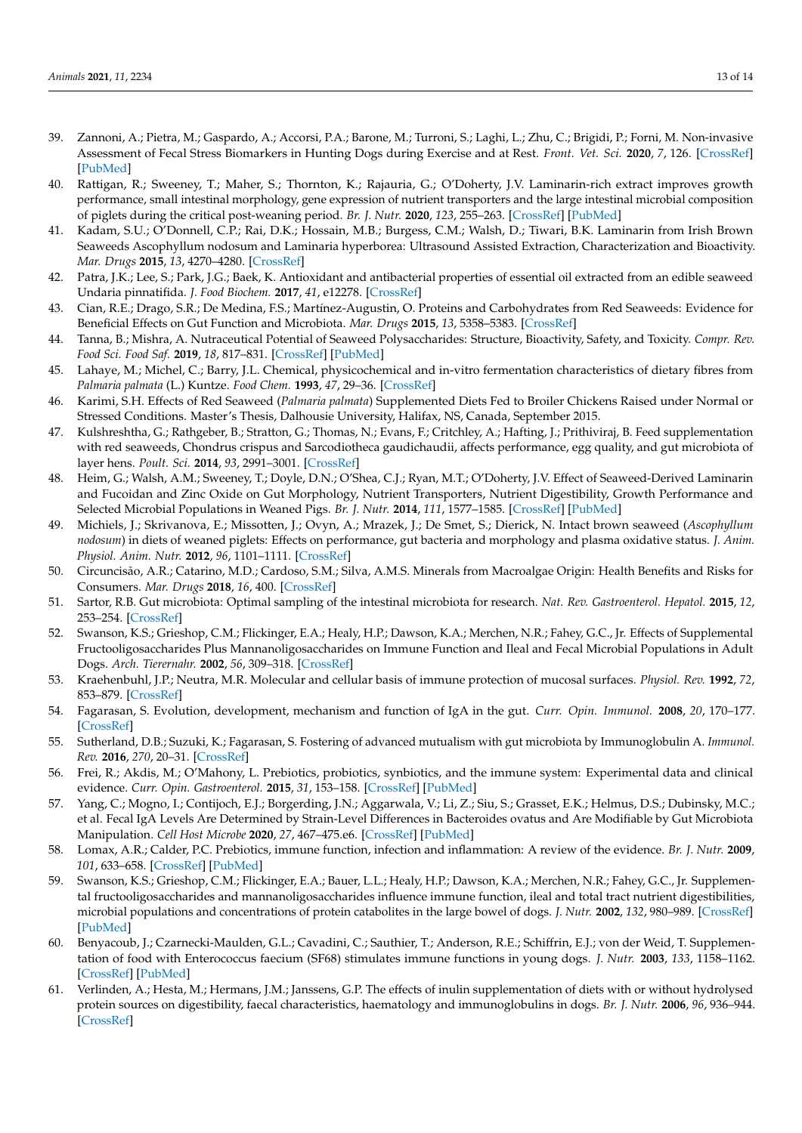- <span id="page-12-0"></span>39. Zannoni, A.; Pietra, M.; Gaspardo, A.; Accorsi, P.A.; Barone, M.; Turroni, S.; Laghi, L.; Zhu, C.; Brigidi, P.; Forni, M. Non-invasive Assessment of Fecal Stress Biomarkers in Hunting Dogs during Exercise and at Rest. *Front. Vet. Sci.* **2020**, *7*, 126. [\[CrossRef\]](http://doi.org/10.3389/fvets.2020.00126) [\[PubMed\]](http://www.ncbi.nlm.nih.gov/pubmed/32373631)
- <span id="page-12-1"></span>40. Rattigan, R.; Sweeney, T.; Maher, S.; Thornton, K.; Rajauria, G.; O'Doherty, J.V. Laminarin-rich extract improves growth performance, small intestinal morphology, gene expression of nutrient transporters and the large intestinal microbial composition of piglets during the critical post-weaning period. *Br. J. Nutr.* **2020**, *123*, 255–263. [\[CrossRef\]](http://doi.org/10.1017/S0007114519002678) [\[PubMed\]](http://www.ncbi.nlm.nih.gov/pubmed/31640819)
- <span id="page-12-2"></span>41. Kadam, S.U.; O'Donnell, C.P.; Rai, D.K.; Hossain, M.B.; Burgess, C.M.; Walsh, D.; Tiwari, B.K. Laminarin from Irish Brown Seaweeds Ascophyllum nodosum and Laminaria hyperborea: Ultrasound Assisted Extraction, Characterization and Bioactivity. *Mar. Drugs* **2015**, *13*, 4270–4280. [\[CrossRef\]](http://doi.org/10.3390/md13074270)
- <span id="page-12-3"></span>42. Patra, J.K.; Lee, S.; Park, J.G.; Baek, K. Antioxidant and antibacterial properties of essential oil extracted from an edible seaweed Undaria pinnatifida. *J. Food Biochem.* **2017**, *41*, e12278. [\[CrossRef\]](http://doi.org/10.1111/jfbc.12278)
- <span id="page-12-4"></span>43. Cian, R.E.; Drago, S.R.; De Medina, F.S.; Martínez-Augustin, O. Proteins and Carbohydrates from Red Seaweeds: Evidence for Beneficial Effects on Gut Function and Microbiota. *Mar. Drugs* **2015**, *13*, 5358–5383. [\[CrossRef\]](http://doi.org/10.3390/md13085358)
- <span id="page-12-5"></span>44. Tanna, B.; Mishra, A. Nutraceutical Potential of Seaweed Polysaccharides: Structure, Bioactivity, Safety, and Toxicity. *Compr. Rev. Food Sci. Food Saf.* **2019**, *18*, 817–831. [\[CrossRef\]](http://doi.org/10.1111/1541-4337.12441) [\[PubMed\]](http://www.ncbi.nlm.nih.gov/pubmed/33336929)
- <span id="page-12-6"></span>45. Lahaye, M.; Michel, C.; Barry, J.L. Chemical, physicochemical and in-vitro fermentation characteristics of dietary fibres from *Palmaria palmata* (L.) Kuntze. *Food Chem.* **1993**, *47*, 29–36. [\[CrossRef\]](http://doi.org/10.1016/0308-8146(93)90298-T)
- <span id="page-12-7"></span>46. Karimi, S.H. Effects of Red Seaweed (*Palmaria palmata*) Supplemented Diets Fed to Broiler Chickens Raised under Normal or Stressed Conditions. Master's Thesis, Dalhousie University, Halifax, NS, Canada, September 2015.
- <span id="page-12-8"></span>47. Kulshreshtha, G.; Rathgeber, B.; Stratton, G.; Thomas, N.; Evans, F.; Critchley, A.; Hafting, J.; Prithiviraj, B. Feed supplementation with red seaweeds, Chondrus crispus and Sarcodiotheca gaudichaudii, affects performance, egg quality, and gut microbiota of layer hens. *Poult. Sci.* **2014**, *93*, 2991–3001. [\[CrossRef\]](http://doi.org/10.3382/ps.2014-04200)
- <span id="page-12-9"></span>48. Heim, G.; Walsh, A.M.; Sweeney, T.; Doyle, D.N.; O'Shea, C.J.; Ryan, M.T.; O'Doherty, J.V. Effect of Seaweed-Derived Laminarin and Fucoidan and Zinc Oxide on Gut Morphology, Nutrient Transporters, Nutrient Digestibility, Growth Performance and Selected Microbial Populations in Weaned Pigs. *Br. J. Nutr.* **2014**, *111*, 1577–1585. [\[CrossRef\]](http://doi.org/10.1017/S0007114513004224) [\[PubMed\]](http://www.ncbi.nlm.nih.gov/pubmed/24502994)
- <span id="page-12-10"></span>49. Michiels, J.; Skrivanova, E.; Missotten, J.; Ovyn, A.; Mrazek, J.; De Smet, S.; Dierick, N. Intact brown seaweed (*Ascophyllum nodosum*) in diets of weaned piglets: Effects on performance, gut bacteria and morphology and plasma oxidative status. *J. Anim. Physiol. Anim. Nutr.* **2012**, *96*, 1101–1111. [\[CrossRef\]](http://doi.org/10.1111/j.1439-0396.2011.01227.x)
- <span id="page-12-11"></span>50. Circuncisão, A.R.; Catarino, M.D.; Cardoso, S.M.; Silva, A.M.S. Minerals from Macroalgae Origin: Health Benefits and Risks for Consumers. *Mar. Drugs* **2018**, *16*, 400. [\[CrossRef\]](http://doi.org/10.3390/md16110400)
- <span id="page-12-12"></span>51. Sartor, R.B. Gut microbiota: Optimal sampling of the intestinal microbiota for research. *Nat. Rev. Gastroenterol. Hepatol.* **2015**, *12*, 253–254. [\[CrossRef\]](http://doi.org/10.1038/nrgastro.2015.46)
- <span id="page-12-13"></span>52. Swanson, K.S.; Grieshop, C.M.; Flickinger, E.A.; Healy, H.P.; Dawson, K.A.; Merchen, N.R.; Fahey, G.C., Jr. Effects of Supplemental Fructooligosaccharides Plus Mannanoligosaccharides on Immune Function and Ileal and Fecal Microbial Populations in Adult Dogs. *Arch. Tierernahr.* **2002**, *56*, 309–318. [\[CrossRef\]](http://doi.org/10.1080/00039420214344)
- <span id="page-12-14"></span>53. Kraehenbuhl, J.P.; Neutra, M.R. Molecular and cellular basis of immune protection of mucosal surfaces. *Physiol. Rev.* **1992**, *72*, 853–879. [\[CrossRef\]](http://doi.org/10.1152/physrev.1992.72.4.853)
- <span id="page-12-15"></span>54. Fagarasan, S. Evolution, development, mechanism and function of IgA in the gut. *Curr. Opin. Immunol.* **2008**, *20*, 170–177. [\[CrossRef\]](http://doi.org/10.1016/j.coi.2008.04.002)
- <span id="page-12-16"></span>55. Sutherland, D.B.; Suzuki, K.; Fagarasan, S. Fostering of advanced mutualism with gut microbiota by Immunoglobulin A. *Immunol. Rev.* **2016**, *270*, 20–31. [\[CrossRef\]](http://doi.org/10.1111/imr.12384)
- <span id="page-12-17"></span>56. Frei, R.; Akdis, M.; O'Mahony, L. Prebiotics, probiotics, synbiotics, and the immune system: Experimental data and clinical evidence. *Curr. Opin. Gastroenterol.* **2015**, *31*, 153–158. [\[CrossRef\]](http://doi.org/10.1097/MOG.0000000000000151) [\[PubMed\]](http://www.ncbi.nlm.nih.gov/pubmed/25594887)
- <span id="page-12-18"></span>57. Yang, C.; Mogno, I.; Contijoch, E.J.; Borgerding, J.N.; Aggarwala, V.; Li, Z.; Siu, S.; Grasset, E.K.; Helmus, D.S.; Dubinsky, M.C.; et al. Fecal IgA Levels Are Determined by Strain-Level Differences in Bacteroides ovatus and Are Modifiable by Gut Microbiota Manipulation. *Cell Host Microbe* **2020**, *27*, 467–475.e6. [\[CrossRef\]](http://doi.org/10.1016/j.chom.2020.01.016) [\[PubMed\]](http://www.ncbi.nlm.nih.gov/pubmed/32075742)
- <span id="page-12-19"></span>58. Lomax, A.R.; Calder, P.C. Prebiotics, immune function, infection and inflammation: A review of the evidence. *Br. J. Nutr.* **2009**, *101*, 633–658. [\[CrossRef\]](http://doi.org/10.1017/S0007114508055608) [\[PubMed\]](http://www.ncbi.nlm.nih.gov/pubmed/18814803)
- <span id="page-12-20"></span>59. Swanson, K.S.; Grieshop, C.M.; Flickinger, E.A.; Bauer, L.L.; Healy, H.P.; Dawson, K.A.; Merchen, N.R.; Fahey, G.C., Jr. Supplemental fructooligosaccharides and mannanoligosaccharides influence immune function, ileal and total tract nutrient digestibilities, microbial populations and concentrations of protein catabolites in the large bowel of dogs. *J. Nutr.* **2002**, *132*, 980–989. [\[CrossRef\]](http://doi.org/10.1093/jn/132.5.980) [\[PubMed\]](http://www.ncbi.nlm.nih.gov/pubmed/11983825)
- <span id="page-12-21"></span>60. Benyacoub, J.; Czarnecki-Maulden, G.L.; Cavadini, C.; Sauthier, T.; Anderson, R.E.; Schiffrin, E.J.; von der Weid, T. Supplementation of food with Enterococcus faecium (SF68) stimulates immune functions in young dogs. *J. Nutr.* **2003**, *133*, 1158–1162. [\[CrossRef\]](http://doi.org/10.1093/jn/133.4.1158) [\[PubMed\]](http://www.ncbi.nlm.nih.gov/pubmed/12672936)
- <span id="page-12-22"></span>61. Verlinden, A.; Hesta, M.; Hermans, J.M.; Janssens, G.P. The effects of inulin supplementation of diets with or without hydrolysed protein sources on digestibility, faecal characteristics, haematology and immunoglobulins in dogs. *Br. J. Nutr.* **2006**, *96*, 936–944. [\[CrossRef\]](http://doi.org/10.1017/BJN20061912)